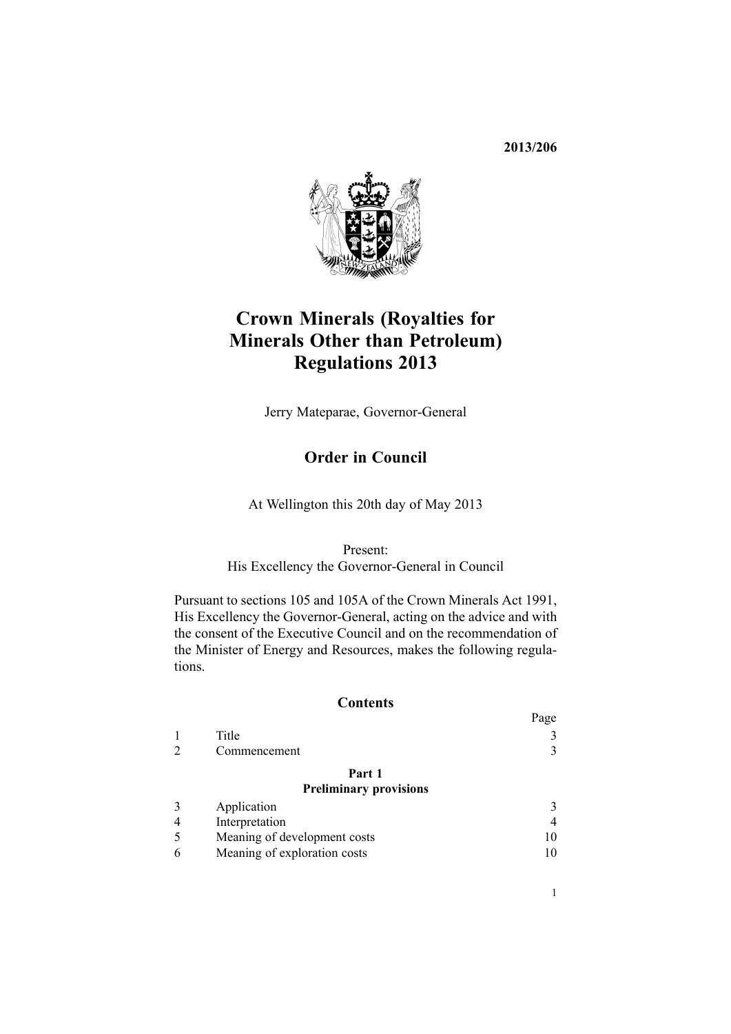**2013/206**



# **Crown Minerals (Royalties for Minerals Other than Petroleum) Regulations 2013**

Jerry Mateparae, Governor-General

# **Order in Council**

At Wellington this 20th day of May 2013

Present: His Excellency the Governor-General in Council

Pursuant to [sections](http://www.legislation.govt.nz/pdflink.aspx?id=DLM247303) 105 and 105A of the Crown Minerals Act 1991, His Excellency the Governor-General, acting on the advice and with the consent of the Executive Council and on the recommendation of the Minister of Energy and Resources, makes the following regulations.

#### **Contents**

|                               | Page |
|-------------------------------|------|
| Title                         |      |
| Commencement                  | 3    |
| Part 1                        |      |
| <b>Preliminary provisions</b> |      |

| Application                  |  |
|------------------------------|--|
| Interpretation               |  |
| Meaning of development costs |  |
| Meaning of exploration costs |  |
|                              |  |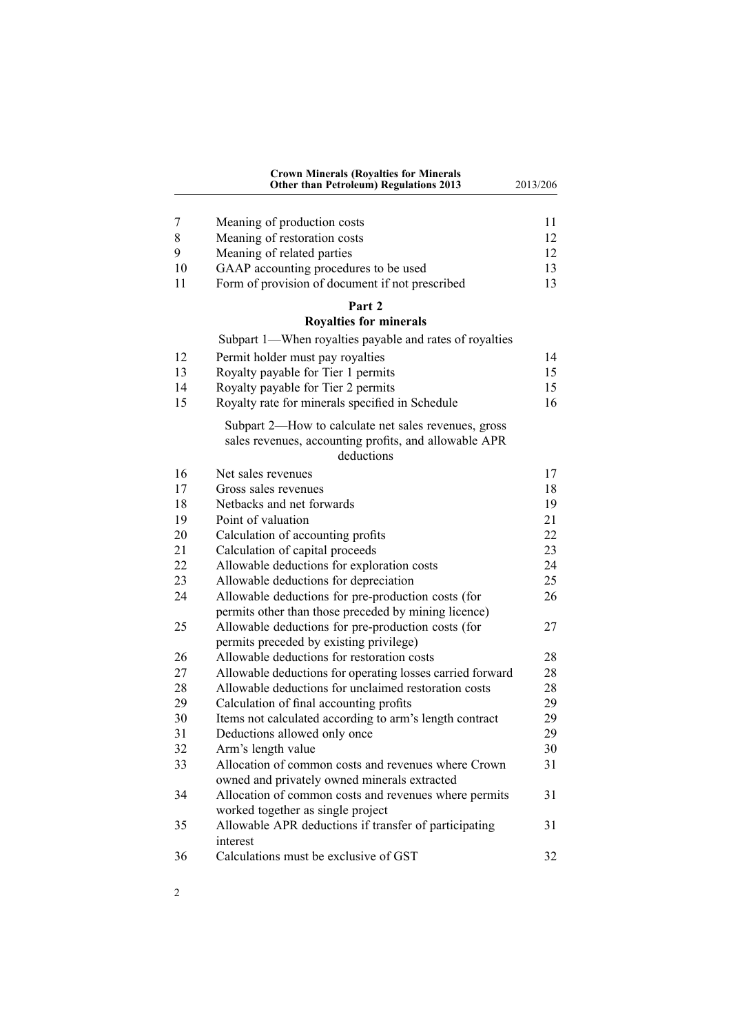|    | <b>Crown Minerals (Royalties for Minerals</b><br><b>Other than Petroleum) Regulations 2013</b>                              | 2013/206 |
|----|-----------------------------------------------------------------------------------------------------------------------------|----------|
| 7  | Meaning of production costs                                                                                                 | 11       |
| 8  | Meaning of restoration costs                                                                                                | 12       |
| 9  | Meaning of related parties                                                                                                  | 12       |
| 10 | GAAP accounting procedures to be used                                                                                       | 13       |
| 11 | Form of provision of document if not prescribed                                                                             | 13       |
|    | Part 2                                                                                                                      |          |
|    | <b>Royalties for minerals</b><br>Subpart 1—When royalties payable and rates of royalties                                    |          |
| 12 | Permit holder must pay royalties                                                                                            | 14       |
| 13 | Royalty payable for Tier 1 permits                                                                                          | 15       |
| 14 | Royalty payable for Tier 2 permits                                                                                          | 15       |
| 15 | Royalty rate for minerals specified in Schedule                                                                             | 16       |
|    | Subpart 2—How to calculate net sales revenues, gross<br>sales revenues, accounting profits, and allowable APR<br>deductions |          |
| 16 | Net sales revenues                                                                                                          | 17       |
| 17 | Gross sales revenues                                                                                                        | 18       |
| 18 | Netbacks and net forwards                                                                                                   | 19       |
| 19 | Point of valuation                                                                                                          | 21       |
| 20 | Calculation of accounting profits                                                                                           | 22       |
| 21 | Calculation of capital proceeds                                                                                             | 23       |
| 22 | Allowable deductions for exploration costs                                                                                  | 24       |
| 23 | Allowable deductions for depreciation                                                                                       | 25       |
| 24 | Allowable deductions for pre-production costs (for                                                                          | 26       |
|    | permits other than those preceded by mining licence)                                                                        |          |
| 25 | Allowable deductions for pre-production costs (for                                                                          | 27       |
|    | permits preceded by existing privilege)                                                                                     |          |
| 26 | Allowable deductions for restoration costs                                                                                  | 28       |
| 27 | Allowable deductions for operating losses carried forward                                                                   | 28       |
| 28 | Allowable deductions for unclaimed restoration costs                                                                        | 28       |
| 29 | Calculation of final accounting profits                                                                                     | 29       |
| 30 | Items not calculated according to arm's length contract                                                                     | 29       |
| 31 | Deductions allowed only once                                                                                                | 29       |
| 32 | Arm's length value                                                                                                          | 30       |
| 33 | Allocation of common costs and revenues where Crown<br>owned and privately owned minerals extracted                         | 31       |
| 34 | Allocation of common costs and revenues where permits                                                                       | 31       |
| 35 | worked together as single project<br>Allowable APR deductions if transfer of participating                                  | 31       |
| 36 | interest<br>Calculations must be exclusive of GST                                                                           | 32       |

2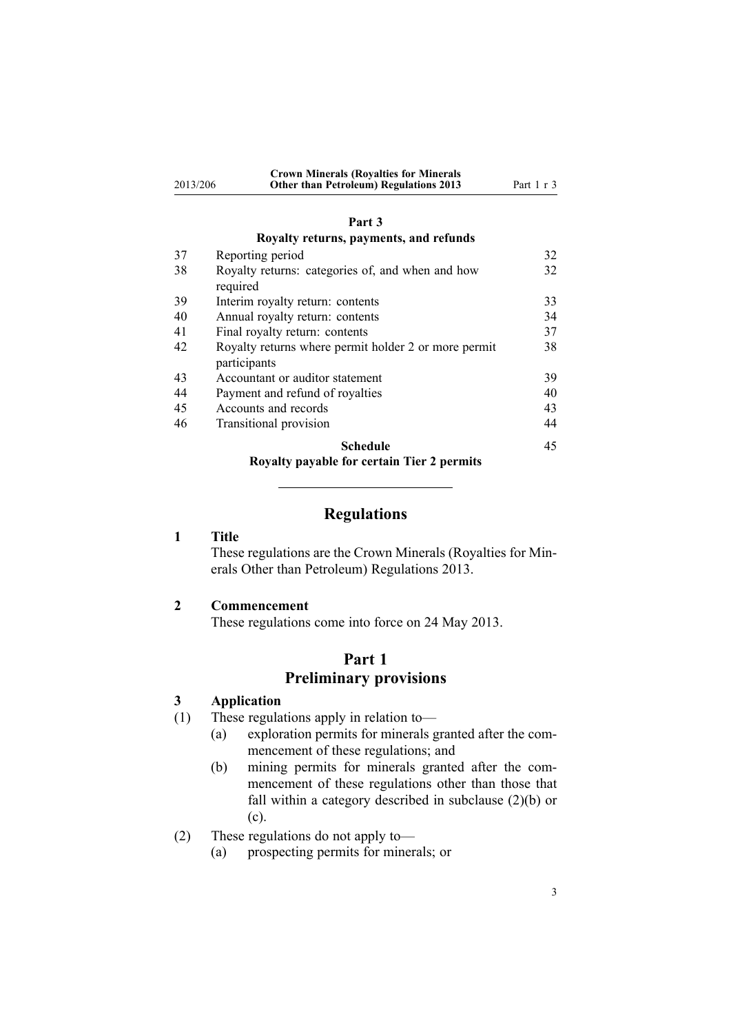<span id="page-2-0"></span>

|          | <b>Crown Minerals (Royalties for Minerals</b> |            |
|----------|-----------------------------------------------|------------|
| 2013/206 | <b>Other than Petroleum) Regulations 2013</b> | Part 1 r 3 |

#### **[Part](#page-31-0) 3**

### **[Royalty](#page-31-0) returns, payments, and refunds**

| 37 | Reporting period                                     | 32 |
|----|------------------------------------------------------|----|
| 38 | Royalty returns: categories of, and when and how     | 32 |
|    | required                                             |    |
| 39 | Interim royalty return: contents                     | 33 |
| 40 | Annual royalty return: contents                      | 34 |
| 41 | Final royalty return: contents                       | 37 |
| 42 | Royalty returns where permit holder 2 or more permit | 38 |
|    | participants                                         |    |
| 43 | Accountant or auditor statement                      | 39 |
| 44 | Payment and refund of royalties                      | 40 |
| 45 | Accounts and records                                 | 43 |
| 46 | Transitional provision                               | 44 |
|    | Schedule                                             | 45 |
|    | Royalty navabla for cartain Tiar 2 narmits           |    |

**[Royalty](#page-44-0) payable for certain Tier 2 permits**

### **Regulations**

### **1 Title**

These regulations are the Crown Minerals (Royalties for Minerals Other than Petroleum) Regulations 2013.

### **2 Commencement**

These regulations come into force on 24 May 2013.

# **Part 1 Preliminary provisions**

#### **3 Application**

- (1) These regulations apply in relation to—
	- (a) exploration permits for minerals granted after the commencement of these regulations; and
	- (b) mining permits for minerals granted after the commencement of these regulations other than those that fall within <sup>a</sup> category described in subclause (2)(b) or (c).
- (2) These regulations do not apply to—
	- (a) prospecting permits for minerals; or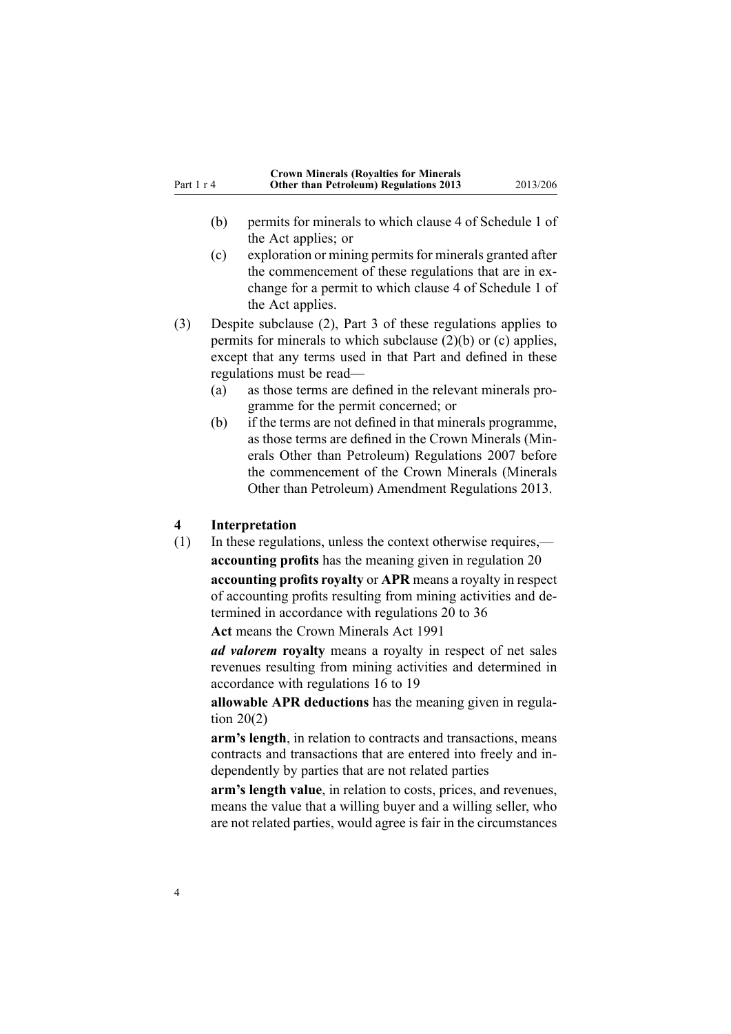<span id="page-3-0"></span>

|            | <b>Crown Minerals (Royalties for Minerals</b> |          |
|------------|-----------------------------------------------|----------|
| Part 1 r 4 | <b>Other than Petroleum) Regulations 2013</b> | 2013/206 |

- (b) permits for minerals to which clause 4 of [Schedule](http://www.legislation.govt.nz/pdflink.aspx?id=DLM247367) 1 of the Act applies; or
- (c) exploration or mining permitsfor minerals granted after the commencement of these regulations that are in exchange for <sup>a</sup> permit to which clause 4 of [Schedule](http://www.legislation.govt.nz/pdflink.aspx?id=DLM247367) 1 of the Act applies.
- (3) Despite subclause (2), [Part](#page-31-0) 3 of these regulations applies to permits for minerals to which subclause (2)(b) or (c) applies, excep<sup>t</sup> that any terms used in that Part and defined in these regulations must be read—
	- (a) as those terms are defined in the relevant minerals programme for the permit concerned; or
	- (b) if the terms are not defined in that minerals programme, as those terms are defined in the Crown Minerals (Minerals Other than Petroleum) Regulations 2007 before the commencement of the Crown Minerals (Minerals Other than Petroleum) Amendment Regulations 2013.

#### **4 Interpretation**

(1) In these regulations, unless the context otherwise requires, **accounting profits** has the meaning given in regu[lation](#page-21-0) 20 **accounting profits royalty** or **APR** means <sup>a</sup> royalty in respec<sup>t</sup> of accounting profits resulting from mining activities and determined in accordance with regu[lations](#page-21-0) 20 to 36

**Act** means the Crown [Minerals](http://www.legislation.govt.nz/pdflink.aspx?id=DLM242535) Act 1991

*ad valorem* **royalty** means <sup>a</sup> royalty in respec<sup>t</sup> of net sales revenues resulting from mining activities and determined in accordance with regu[lations](#page-16-0) 16 to 19

**allowable APR deductions** has the meaning given in [regu](#page-21-0)lation  $20(2)$ 

**arm's length**, in relation to contracts and transactions, means contracts and transactions that are entered into freely and independently by parties that are not related parties

**arm's length value**, in relation to costs, prices, and revenues, means the value that <sup>a</sup> willing buyer and <sup>a</sup> willing seller, who are not related parties, would agree is fair in the circumstances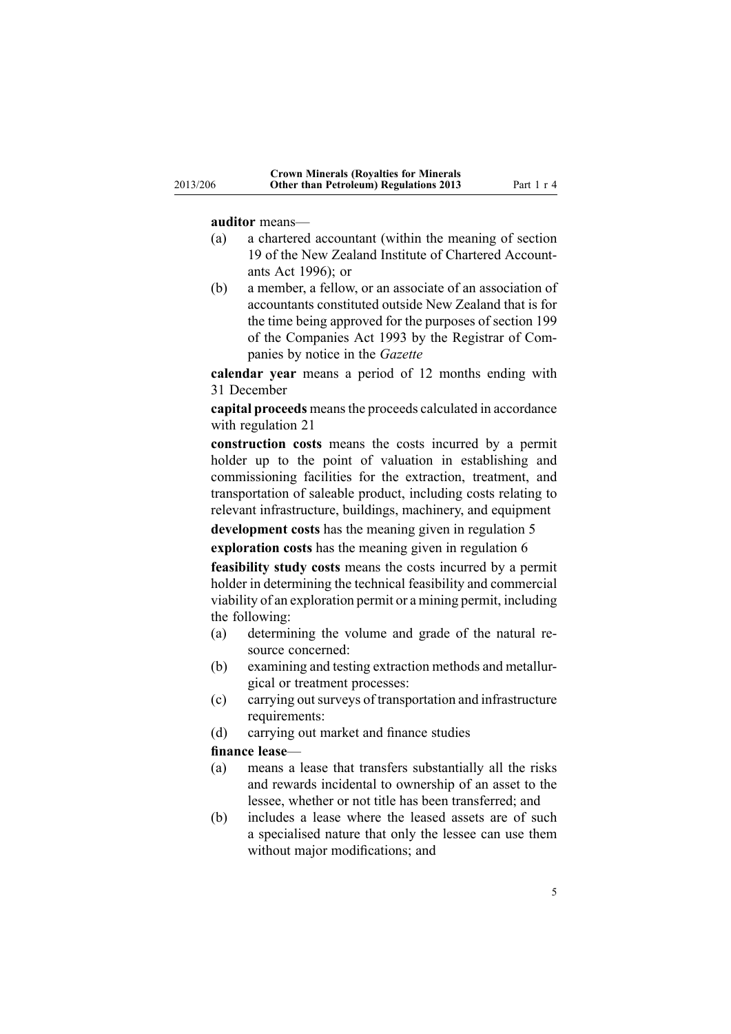#### **auditor** means—

- (a) <sup>a</sup> chartered accountant (within the meaning of [section](http://www.legislation.govt.nz/pdflink.aspx?id=DLM391422) [19](http://www.legislation.govt.nz/pdflink.aspx?id=DLM391422) of the New Zealand Institute of Chartered Accountants Act 1996); or
- (b) <sup>a</sup> member, <sup>a</sup> fellow, or an associate of an association of accountants constituted outside New Zealand that is for the time being approved for the purposes of [section](http://www.legislation.govt.nz/pdflink.aspx?id=DLM320887) 199 of the Companies Act 1993 by the Registrar of Companies by notice in the *Gazette*

**calendar year** means <sup>a</sup> period of 12 months ending with 31 December

**capital proceeds** meansthe proceeds calculated in accordance with regu[lation](#page-22-0) 21

**construction costs** means the costs incurred by <sup>a</sup> permit holder up to the point of valuation in establishing and commissioning facilities for the extraction, treatment, and transportation of saleable product, including costs relating to relevant infrastructure, buildings, machinery, and equipment

**development costs** has the meaning given in regu[lation](#page-9-0) 5

**exploration costs** has the meaning given in regu[lation](#page-9-0) 6

**feasibility study costs** means the costs incurred by <sup>a</sup> permit holder in determining the technical feasibility and commercial viability of an exploration permit or <sup>a</sup> mining permit, including the following:

- (a) determining the volume and grade of the natural resource concerned:
- (b) examining and testing extraction methods and metallurgical or treatment processes:
- (c) carrying outsurveys of transportation and infrastructure requirements:
- (d) carrying out market and finance studies

#### **finance lease**—

- (a) means <sup>a</sup> lease that transfers substantially all the risks and rewards incidental to ownership of an asset to the lessee, whether or not title has been transferred; and
- (b) includes <sup>a</sup> lease where the leased assets are of such <sup>a</sup> specialised nature that only the lessee can use them without major modifications; and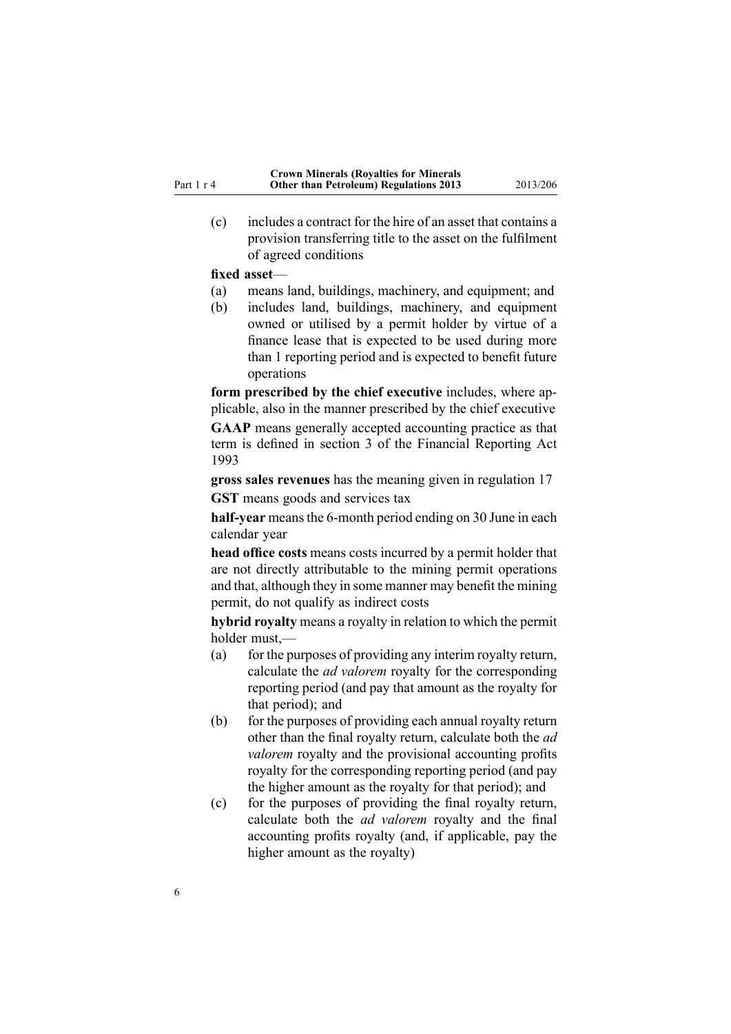(c) includes <sup>a</sup> contract for the hire of an asset that contains <sup>a</sup> provision transferring title to the asset on the fulfilment of agreed conditions

#### **fixed asset**—

- (a) means land, buildings, machinery, and equipment; and
- (b) includes land, buildings, machinery, and equipment owned or utilised by <sup>a</sup> permit holder by virtue of <sup>a</sup> finance lease that is expected to be used during more than 1 reporting period and is expected to benefit future operations

**form prescribed by the chief executive** includes, where applicable, also in the manner prescribed by the chief executive **GAAP** means generally accepted accounting practice as that term is defined in [section](http://www.legislation.govt.nz/pdflink.aspx?id=DLM324886) 3 of the Financial Reporting Act 1993

**gross sales revenues** has the meaning given in regu[lation](#page-17-0) 17

**GST** means goods and services tax

half-year means the 6-month period ending on 30 June in each calendar year

**head office costs** means costs incurred by <sup>a</sup> permit holder that are not directly attributable to the mining permit operations and that, although they in some manner may benefit the mining permit, do not qualify as indirect costs

**hybrid royalty** means <sup>a</sup> royalty in relation to which the permit holder must,—

- (a) for the purposes of providing any interim royalty return, calculate the *ad valorem* royalty for the corresponding reporting period (and pay that amount as the royalty for that period); and
- (b) for the purposes of providing each annual royalty return other than the final royalty return, calculate both the *ad valorem* royalty and the provisional accounting profits royalty for the corresponding reporting period (and pay the higher amount as the royalty for that period); and
- (c) for the purposes of providing the final royalty return, calculate both the *ad valorem* royalty and the final accounting profits royalty (and, if applicable, pay the higher amount as the royalty)

Part 1 <sup>r</sup> 4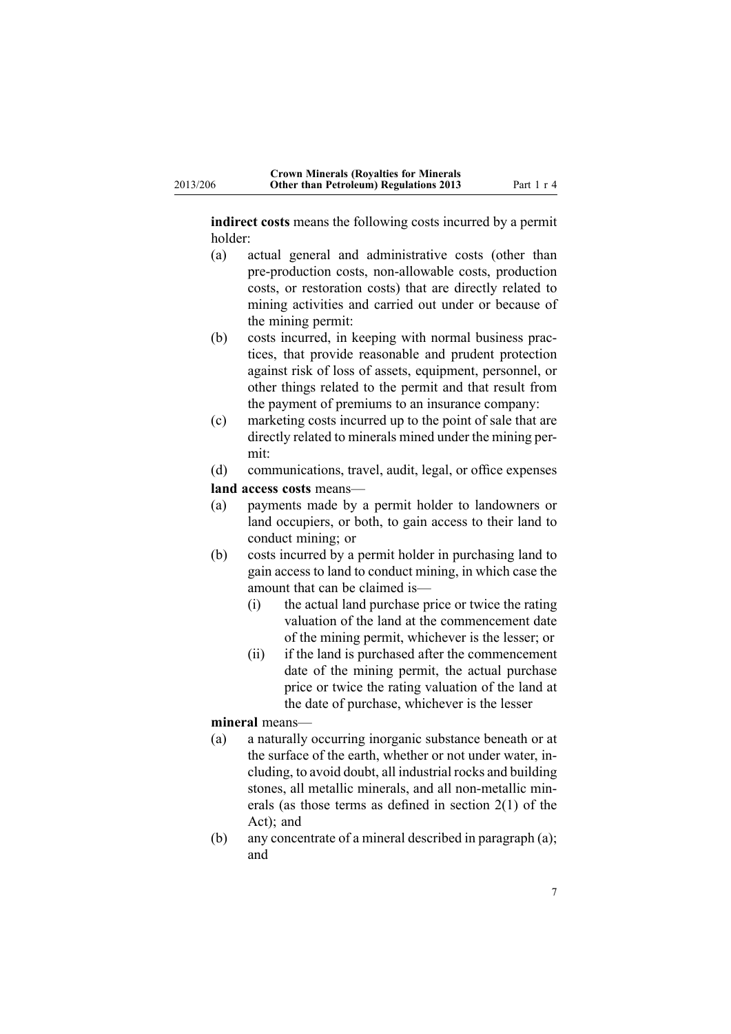**indirect costs** means the following costs incurred by <sup>a</sup> permit holder:

- (a) actual general and administrative costs (other than pre-production costs, non-allowable costs, production costs, or restoration costs) that are directly related to mining activities and carried out under or because of the mining permit:
- (b) costs incurred, in keeping with normal business practices, that provide reasonable and prudent protection against risk of loss of assets, equipment, personnel, or other things related to the permit and that result from the paymen<sup>t</sup> of premiums to an insurance company:
- (c) marketing costs incurred up to the point of sale that are directly related to minerals mined under the mining permit:
- (d) communications, travel, audit, legal, or office expenses
- **land access costs** means—
- (a) payments made by <sup>a</sup> permit holder to landowners or land occupiers, or both, to gain access to their land to conduct mining; or
- (b) costs incurred by <sup>a</sup> permit holder in purchasing land to gain access to land to conduct mining, in which case the amount that can be claimed is—
	- (i) the actual land purchase price or twice the rating valuation of the land at the commencement date of the mining permit, whichever is the lesser; or
	- (ii) if the land is purchased after the commencement date of the mining permit, the actual purchase price or twice the rating valuation of the land at the date of purchase, whichever is the lesser

### **mineral** means—

- (a) <sup>a</sup> naturally occurring inorganic substance beneath or at the surface of the earth, whether or not under water, including, to avoid doubt, all industrial rocks and building stones, all metallic minerals, and all non-metallic minerals (as those terms as defined in [section](http://www.legislation.govt.nz/pdflink.aspx?id=DLM242543) 2(1) of the Act); and
- (b) any concentrate of <sup>a</sup> mineral described in paragraph (a); and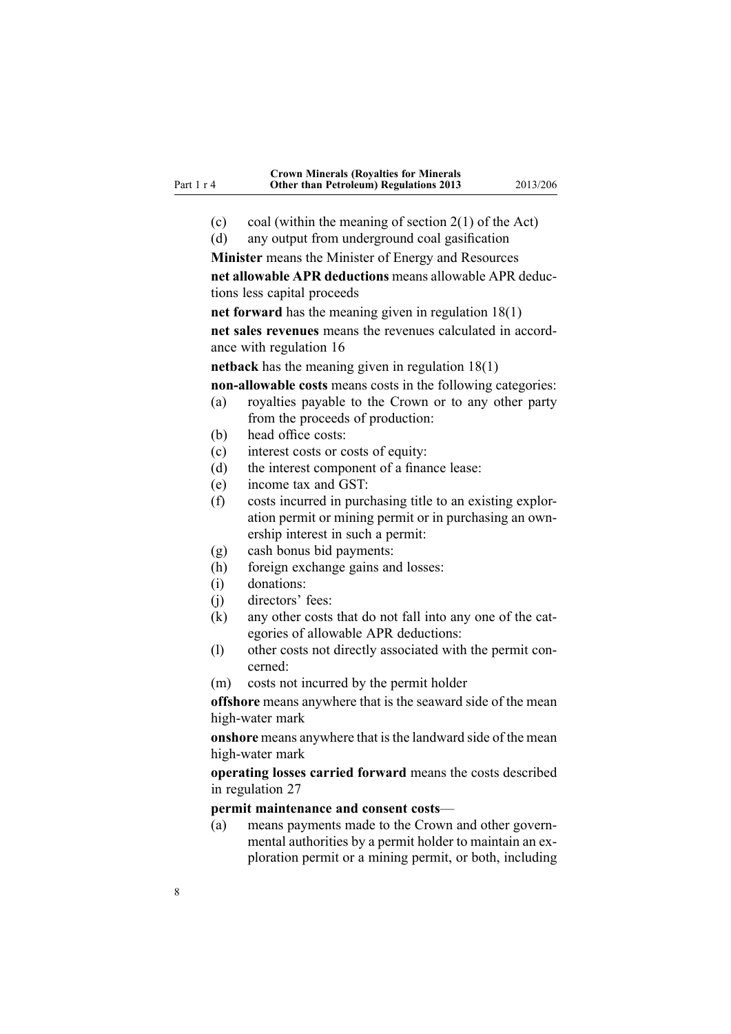- (c) coal (within the meaning of [section](http://www.legislation.govt.nz/pdflink.aspx?id=DLM242543)  $2(1)$  of the Act)
- (d) any output from underground coal gasification

**Minister** means the Minister of Energy and Resources **net allowable APR deductions** means allowable APR deductions less capital proceeds

**net forward** has the meaning given in regulation [18\(1\)](#page-18-0) **net sales revenues** means the revenues calculated in accordance with regu[lation](#page-16-0) 16

**netback** has the meaning given in regulation [18\(1\)](#page-18-0)

**non-allowable costs** means costs in the following categories:

- (a) royalties payable to the Crown or to any other party from the proceeds of production:
- (b) head office costs:
- (c) interest costs or costs of equity:
- (d) the interest componen<sup>t</sup> of <sup>a</sup> finance lease:
- (e) income tax and GST:
- (f) costs incurred in purchasing title to an existing exploration permit or mining permit or in purchasing an ownership interest in such <sup>a</sup> permit:
- (g) cash bonus bid payments:
- (h) foreign exchange gains and losses:
- (i) donations:
- (j) directors' fees:
- (k) any other costs that do not fall into any one of the categories of allowable APR deductions:
- (l) other costs not directly associated with the permit concerned:
- (m) costs not incurred by the permit holder

**offshore** means anywhere that is the seaward side of the mean high-water mark

**onshore** means anywhere that is the landward side of the mean high-water mark

**operating losses carried forward** means the costs described in regu[lation](#page-27-0) 27

#### **permit maintenance and consent costs**—

(a) means payments made to the Crown and other governmental authorities by <sup>a</sup> permit holder to maintain an exploration permit or <sup>a</sup> mining permit, or both, including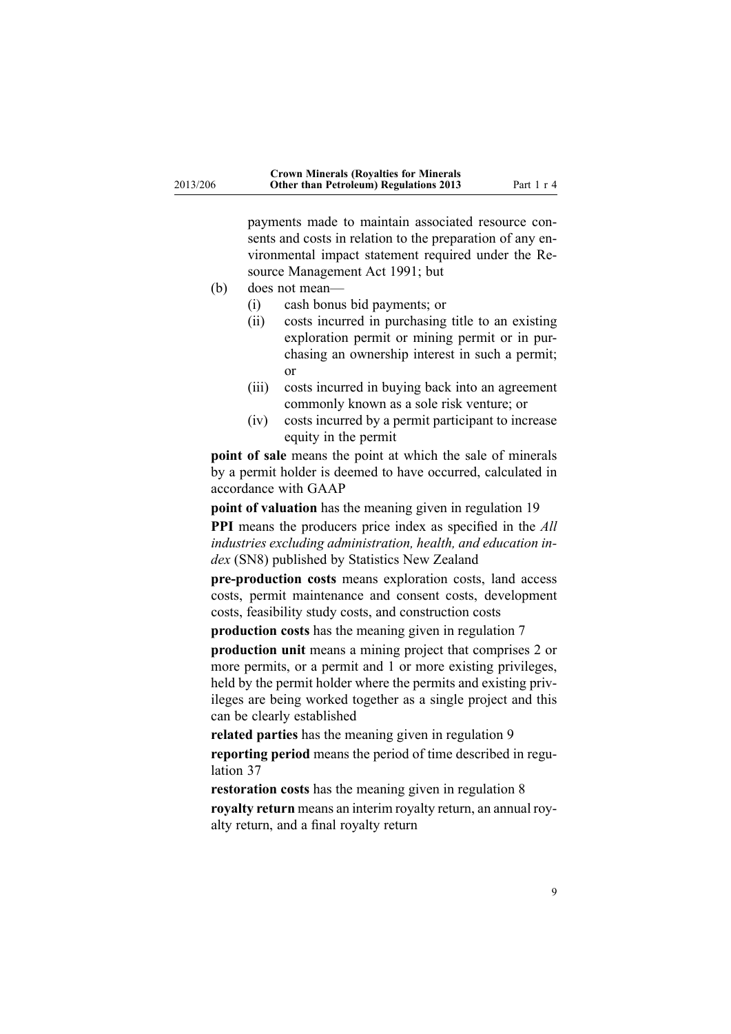payments made to maintain associated resource consents and costs in relation to the preparation of any environmental impact statement required under the [Re](http://www.legislation.govt.nz/pdflink.aspx?id=DLM230264)source [Management](http://www.legislation.govt.nz/pdflink.aspx?id=DLM230264) Act 1991; but

- (b) does not mean—
	- (i) cash bonus bid payments; or
	- (ii) costs incurred in purchasing title to an existing exploration permit or mining permit or in purchasing an ownership interest in such <sup>a</sup> permit; or
	- (iii) costs incurred in buying back into an agreemen<sup>t</sup> commonly known as <sup>a</sup> sole risk venture; or
	- (iv) costs incurred by <sup>a</sup> permit participant to increase equity in the permit

**point of sale** means the point at which the sale of minerals by <sup>a</sup> permit holder is deemed to have occurred, calculated in accordance with GAAP

**point of valuation** has the meaning given in regu[lation](#page-20-0) 19

**PPI** means the producers price index as specified in the *All industries excluding administration, health, and education index* (SN8) published by Statistics New Zealand

**pre-production costs** means exploration costs, land access costs, permit maintenance and consent costs, development costs, feasibility study costs, and construction costs

**production costs** has the meaning given in regu[lation](#page-10-0) 7

**production unit** means <sup>a</sup> mining project that comprises 2 or more permits, or <sup>a</sup> permit and 1 or more existing privileges, held by the permit holder where the permits and existing privileges are being worked together as <sup>a</sup> single project and this can be clearly established

**related parties** has the meaning given in regu[lation](#page-11-0) 9

**reporting period** means the period of time described in [regu](#page-31-0)[lation](#page-31-0) 37

**restoration costs** has the meaning given in regu[lation](#page-11-0) 8

**royalty return** means an interim royalty return, an annual royalty return, and <sup>a</sup> final royalty return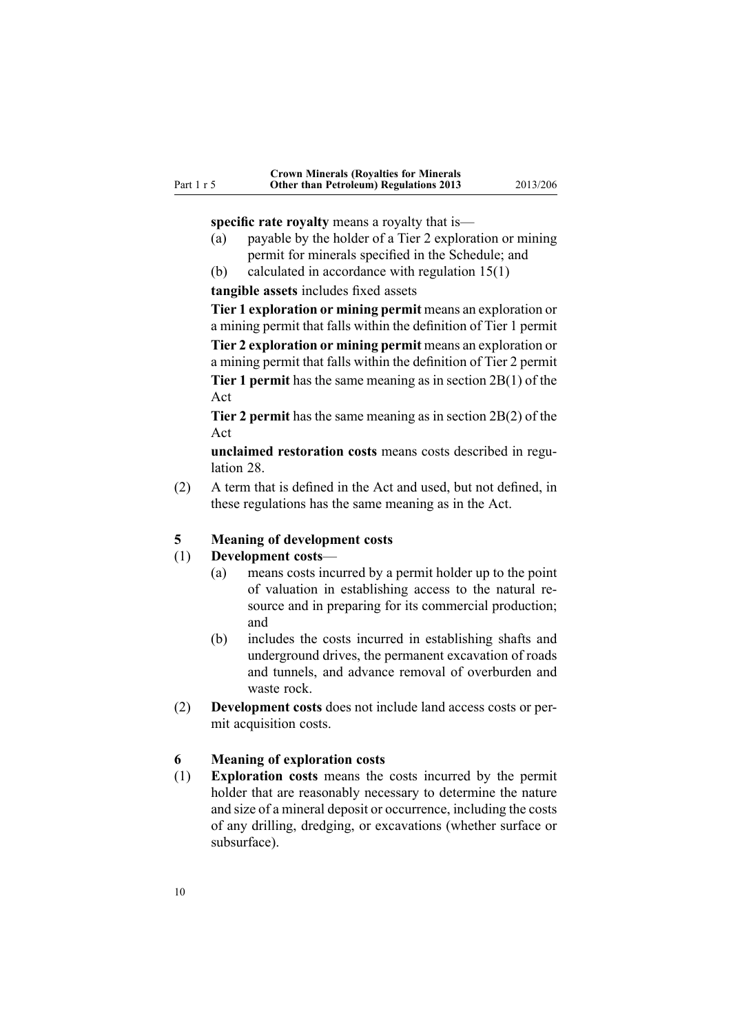<span id="page-9-0"></span>**specific rate royalty** means a royalty that is—

- (a) payable by the holder of <sup>a</sup> Tier 2 exploration or mining permit for minerals specified in the Schedule; and
- (b) calculated in accordance with regulation [15\(1\)](#page-15-0)

**tangible assets** includes fixed assets

**Tier 1 exploration or mining permit** means an exploration or <sup>a</sup> mining permit that falls within the definition of Tier 1 permit **Tier 2 exploration or mining permit** means an exploration or <sup>a</sup> mining permit that falls within the definition of Tier 2 permit **Tier 1 permit** has the same meaning as in section 2B(1) of the Act

**Tier 2 permit** has the same meaning as in section 2B(2) of the Act

**unclaimed restoration costs** means costs described in [regu](#page-27-0)[lation](#page-27-0) 28.

(2) A term that is defined in the Act and used, but not defined, in these regulations has the same meaning as in the Act.

#### **5 Meaning of development costs**

#### (1) **Development costs**—

- (a) means costs incurred by <sup>a</sup> permit holder up to the point of valuation in establishing access to the natural resource and in preparing for its commercial production; and
- (b) includes the costs incurred in establishing shafts and underground drives, the permanen<sup>t</sup> excavation of roads and tunnels, and advance removal of overburden and waste rock.
- (2) **Development costs** does not include land access costs or permit acquisition costs.

#### **6 Meaning of exploration costs**

(1) **Exploration costs** means the costs incurred by the permit holder that are reasonably necessary to determine the nature and size of <sup>a</sup> mineral deposit or occurrence, including the costs of any drilling, dredging, or excavations (whether surface or subsurface).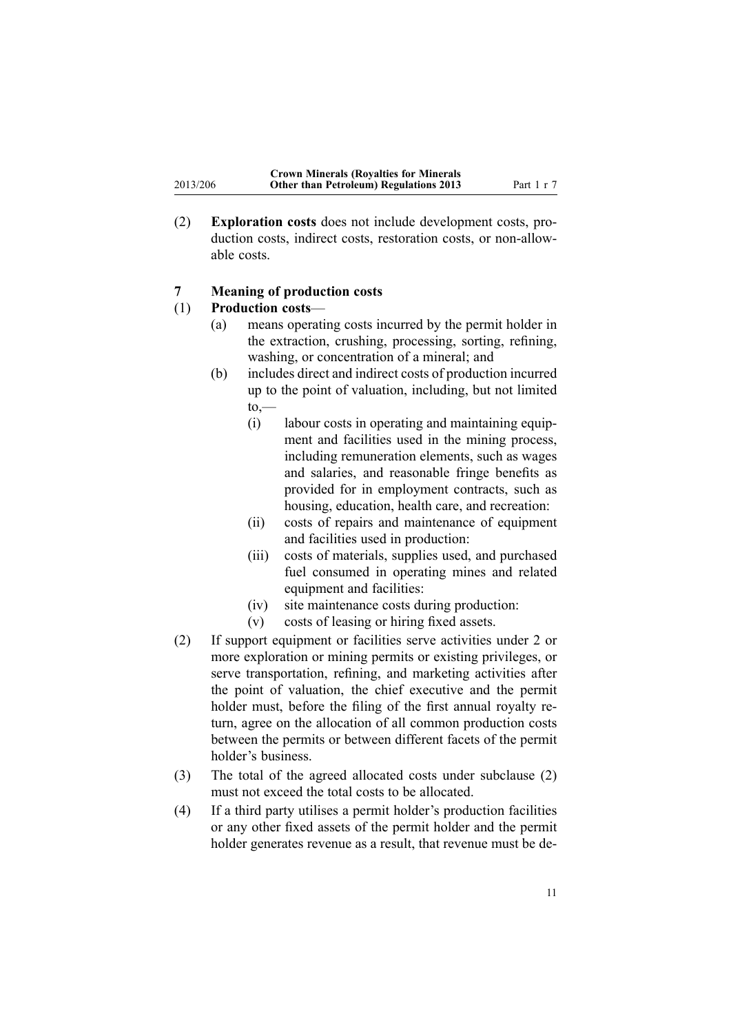(2) **Exploration costs** does not include development costs, production costs, indirect costs, restoration costs, or non-allowable costs.

### **7 Meaning of production costs**

#### (1) **Production costs**—

<span id="page-10-0"></span>2013/206

- (a) means operating costs incurred by the permit holder in the extraction, crushing, processing, sorting, refining, washing, or concentration of <sup>a</sup> mineral; and
- (b) includes direct and indirect costs of production incurred up to the point of valuation, including, but not limited  $to,$ 
	- (i) labour costs in operating and maintaining equipment and facilities used in the mining process, including remuneration elements, such as wages and salaries, and reasonable fringe benefits as provided for in employment contracts, such as housing, education, health care, and recreation:
	- (ii) costs of repairs and maintenance of equipment and facilities used in production:
	- (iii) costs of materials, supplies used, and purchased fuel consumed in operating mines and related equipment and facilities:
	- (iv) site maintenance costs during production:
	- (v) costs of leasing or hiring fixed assets.
- (2) If suppor<sup>t</sup> equipment or facilities serve activities under 2 or more exploration or mining permits or existing privileges, or serve transportation, refining, and marketing activities after the point of valuation, the chief executive and the permit holder must, before the filing of the first annual royalty return, agree on the allocation of all common production costs between the permits or between different facets of the permit holder's business.
- (3) The total of the agreed allocated costs under subclause (2) must not exceed the total costs to be allocated.
- (4) If <sup>a</sup> third party utilises <sup>a</sup> permit holder's production facilities or any other fixed assets of the permit holder and the permit holder generates revenue as <sup>a</sup> result, that revenue must be de-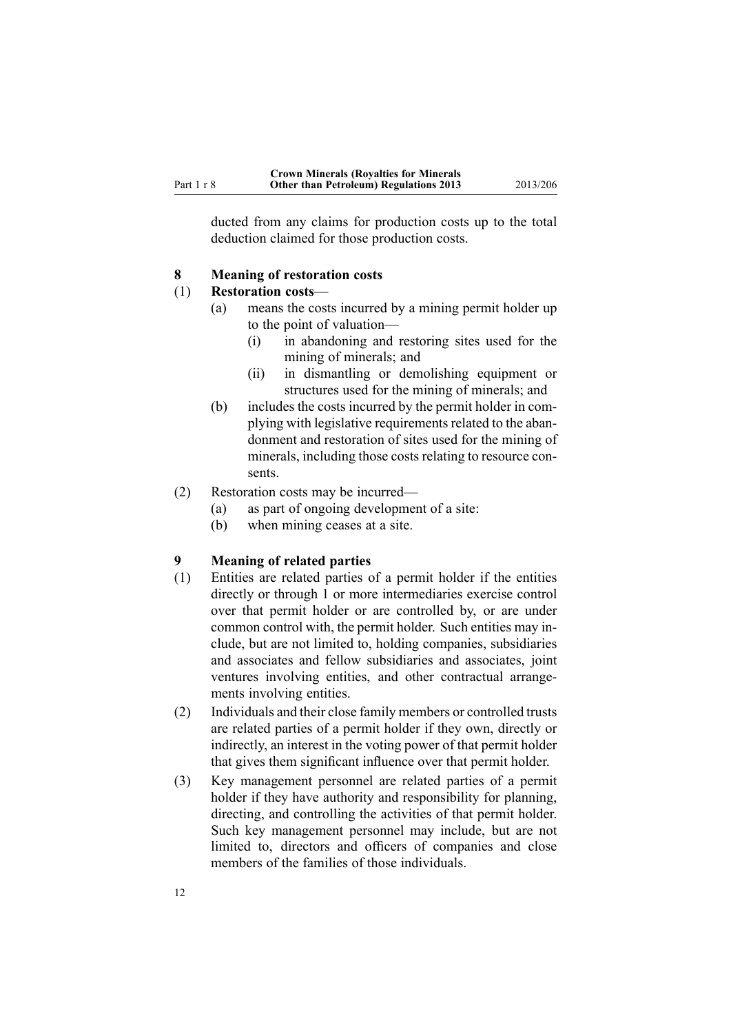<span id="page-11-0"></span>ducted from any claims for production costs up to the total deduction claimed for those production costs.

#### **8 Meaning of restoration costs**

#### (1) **Restoration costs**—

- (a) means the costs incurred by <sup>a</sup> mining permit holder up to the point of valuation—
	- (i) in abandoning and restoring sites used for the mining of minerals; and
	- (ii) in dismantling or demolishing equipment or structures used for the mining of minerals; and
- (b) includes the costs incurred by the permit holder in complying with legislative requirements related to the abandonment and restoration of sites used for the mining of minerals, including those costs relating to resource consents.
- (2) Restoration costs may be incurred—
	- (a) as par<sup>t</sup> of ongoing development of <sup>a</sup> site:
	- (b) when mining ceases at <sup>a</sup> site.

### **9 Meaning of related parties**

- (1) Entities are related parties of <sup>a</sup> permit holder if the entities directly or through 1 or more intermediaries exercise control over that permit holder or are controlled by, or are under common control with, the permit holder. Such entities may include, but are not limited to, holding companies, subsidiaries and associates and fellow subsidiaries and associates, joint ventures involving entities, and other contractual arrangements involving entities.
- (2) Individuals and their close family members or controlled trusts are related parties of <sup>a</sup> permit holder if they own, directly or indirectly, an interest in the voting power of that permit holder that gives them significant influence over that permit holder.
- (3) Key managemen<sup>t</sup> personnel are related parties of <sup>a</sup> permit holder if they have authority and responsibility for planning, directing, and controlling the activities of that permit holder. Such key managemen<sup>t</sup> personnel may include, but are not limited to, directors and officers of companies and close members of the families of those individuals.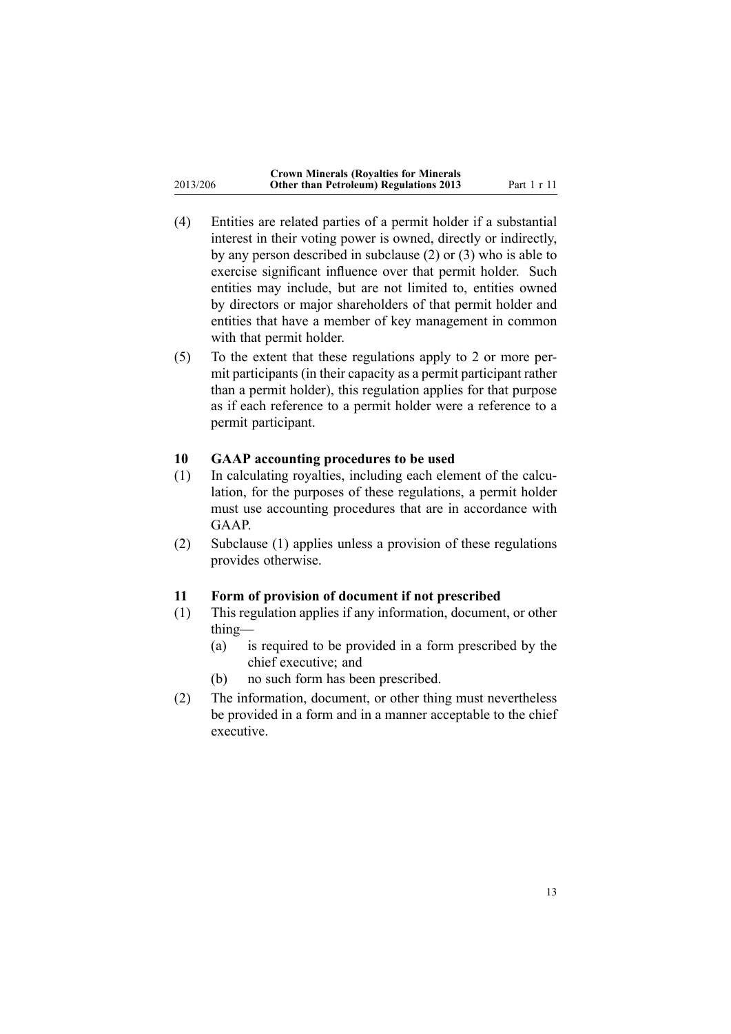<span id="page-12-0"></span>

|          | <b>Crown Minerals (Royalties for Minerals</b> |
|----------|-----------------------------------------------|
| 2013/206 | <b>Other than Petroleum) Regulations 2013</b> |

- (4) Entities are related parties of <sup>a</sup> permit holder if <sup>a</sup> substantial interest in their voting power is owned, directly or indirectly, by any person described in subclause (2) or (3) who is able to exercise significant influence over that permit holder. Such entities may include, but are not limited to, entities owned by directors or major shareholders of that permit holder and entities that have <sup>a</sup> member of key managemen<sup>t</sup> in common with that permit holder.
- (5) To the extent that these regulations apply to 2 or more permit participants (in their capacity as <sup>a</sup> permit participant rather than <sup>a</sup> permit holder), this regulation applies for that purpose as if each reference to <sup>a</sup> permit holder were <sup>a</sup> reference to <sup>a</sup> permit participant.

### **10 GAAP accounting procedures to be used**

- (1) In calculating royalties, including each element of the calculation, for the purposes of these regulations, <sup>a</sup> permit holder must use accounting procedures that are in accordance with GAAP.
- (2) Subclause (1) applies unless <sup>a</sup> provision of these regulations provides otherwise.

### **11 Form of provision of document if not prescribed**

- (1) This regulation applies if any information, document, or other thing—
	- (a) is required to be provided in <sup>a</sup> form prescribed by the chief executive; and
	- (b) no such form has been prescribed.
- (2) The information, document, or other thing must nevertheless be provided in <sup>a</sup> form and in <sup>a</sup> manner acceptable to the chief executive.

**Other than Petroleum) Regulations 2013** Part 1 <sup>r</sup> 11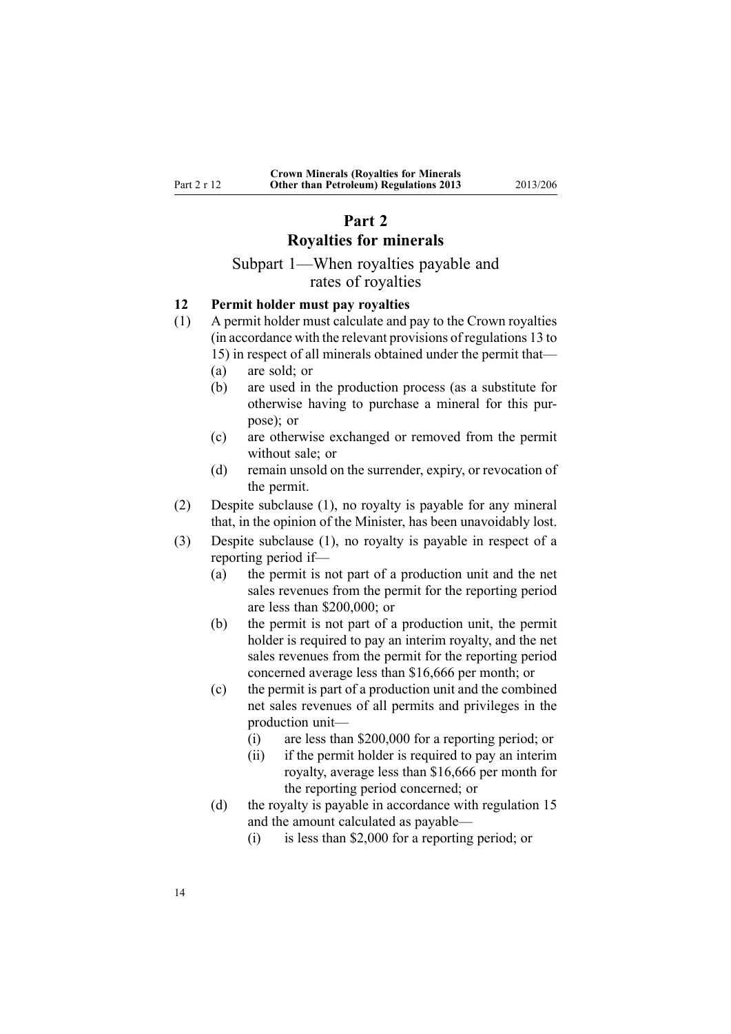### **Part 2**

# **Royalties for minerals**

# Subpart 1—When royalties payable and rates of royalties

### **12 Permit holder must pay royalties**

- (1) A permit holder must calculate and pay to the Crown royalties (in accordance with the relevant provisions of regu[lations](#page-14-0) 13 to [15](#page-14-0)) in respec<sup>t</sup> of all minerals obtained under the permit that—
	- (a) are sold; or

<span id="page-13-0"></span>Part 2 <sup>r</sup> 12

- (b) are used in the production process (as <sup>a</sup> substitute for otherwise having to purchase <sup>a</sup> mineral for this purpose); or
- (c) are otherwise exchanged or removed from the permit without sale; or
- (d) remain unsold on the surrender, expiry, or revocation of the permit.
- (2) Despite subclause (1), no royalty is payable for any mineral that, in the opinion of the Minister, has been unavoidably lost.
- (3) Despite subclause (1), no royalty is payable in respec<sup>t</sup> of <sup>a</sup> reporting period if—
	- (a) the permit is not par<sup>t</sup> of <sup>a</sup> production unit and the net sales revenues from the permit for the reporting period are less than \$200,000; or
	- (b) the permit is not par<sup>t</sup> of <sup>a</sup> production unit, the permit holder is required to pay an interim royalty, and the net sales revenues from the permit for the reporting period concerned average less than \$16,666 per month; or
	- (c) the permit is par<sup>t</sup> of <sup>a</sup> production unit and the combined net sales revenues of all permits and privileges in the production unit—
		- (i) are less than \$200,000 for <sup>a</sup> reporting period; or
		- (ii) if the permit holder is required to pay an interim royalty, average less than \$16,666 per month for the reporting period concerned; or
	- (d) the royalty is payable in accordance with regu[lation](#page-15-0) 15 and the amount calculated as payable—
		- (i) is less than \$2,000 for <sup>a</sup> reporting period; or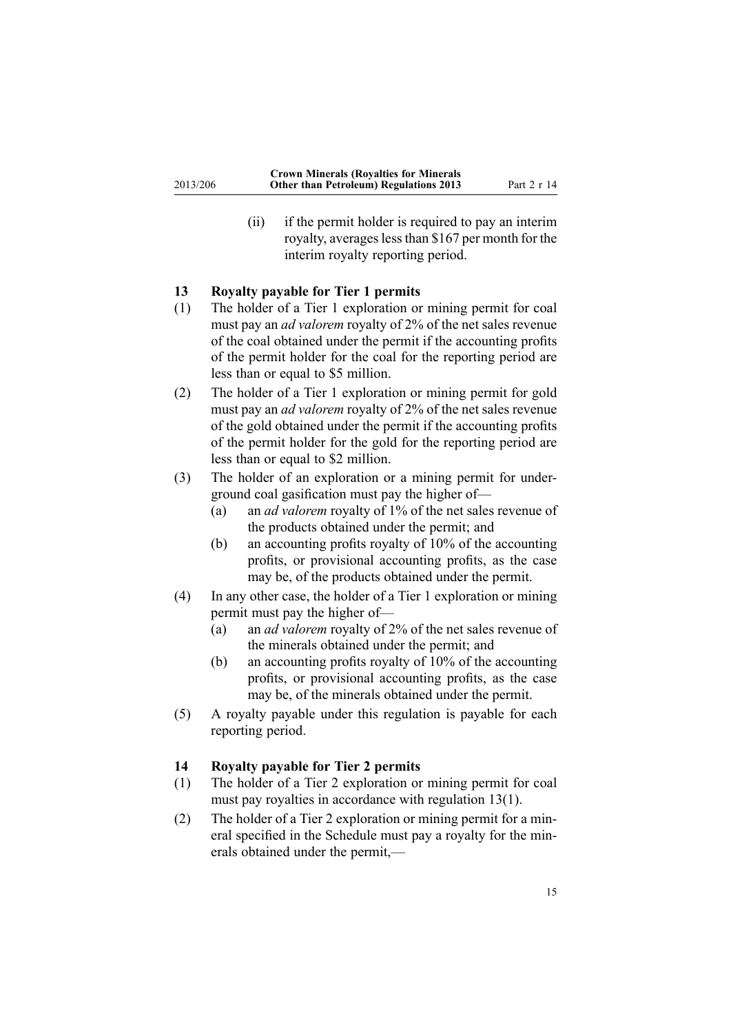<span id="page-14-0"></span>(ii) if the permit holder is required to pay an interim royalty, averages less than \$167 per month for the interim royalty reporting period.

### **13 Royalty payable for Tier 1 permits**

- (1) The holder of <sup>a</sup> Tier 1 exploration or mining permit for coal must pay an *ad valorem* royalty of 2% of the net sales revenue of the coal obtained under the permit if the accounting profits of the permit holder for the coal for the reporting period are less than or equal to \$5 million.
- (2) The holder of <sup>a</sup> Tier 1 exploration or mining permit for gold must pay an *ad valorem* royalty of 2% of the net sales revenue of the gold obtained under the permit if the accounting profits of the permit holder for the gold for the reporting period are less than or equal to \$2 million.
- (3) The holder of an exploration or <sup>a</sup> mining permit for underground coal gasification must pay the higher of—
	- (a) an *ad valorem* royalty of 1% of the net sales revenue of the products obtained under the permit; and
	- (b) an accounting profits royalty of 10% of the accounting profits, or provisional accounting profits, as the case may be, of the products obtained under the permit.
- (4) In any other case, the holder of <sup>a</sup> Tier 1 exploration or mining permit must pay the higher of—
	- (a) an *ad valorem* royalty of 2% of the net sales revenue of the minerals obtained under the permit; and
	- (b) an accounting profits royalty of 10% of the accounting profits, or provisional accounting profits, as the case may be, of the minerals obtained under the permit.
- (5) A royalty payable under this regulation is payable for each reporting period.

#### **14 Royalty payable for Tier 2 permits**

- (1) The holder of <sup>a</sup> Tier 2 exploration or mining permit for coal must pay royalties in accordance with regulation 13(1).
- (2) The holder of <sup>a</sup> Tier 2 exploration or mining permit for <sup>a</sup> mineral specified in the [Schedule](#page-43-0) must pay <sup>a</sup> royalty for the minerals obtained under the permit,—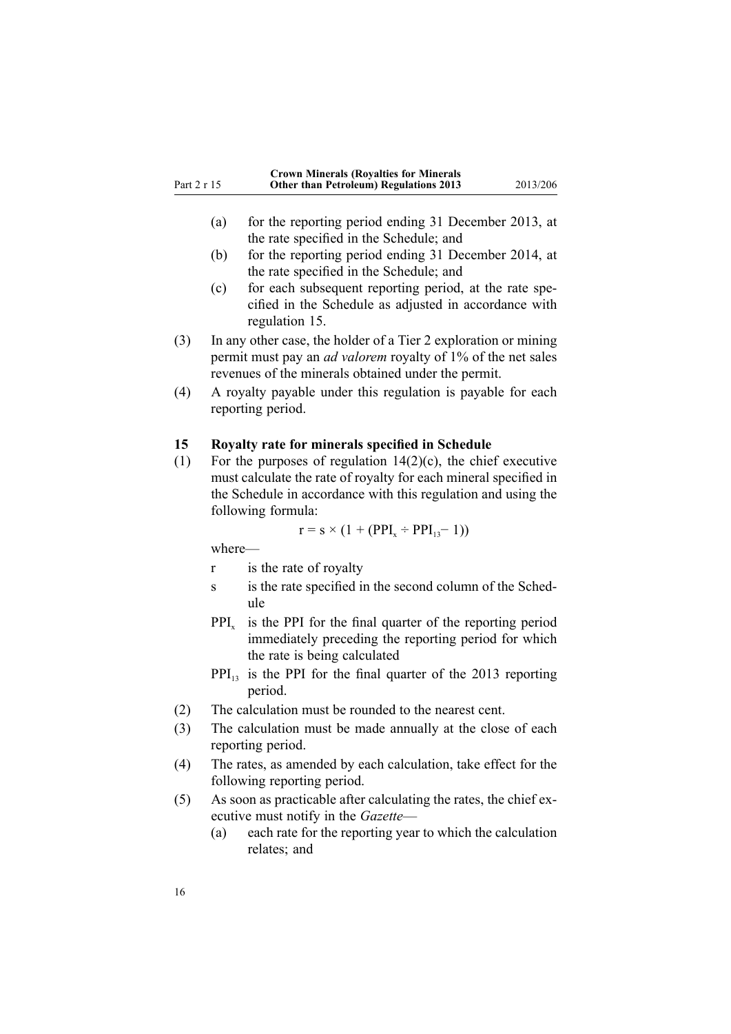<span id="page-15-0"></span>

| Part 2 r 15 | <b>Crown Minerals (Royalties for Minerals</b><br><b>Other than Petroleum) Regulations 2013</b> | 2013/206 |
|-------------|------------------------------------------------------------------------------------------------|----------|
|             |                                                                                                |          |

- (a) for the reporting period ending 31 December 2013, at the rate specified in the [Schedule](#page-43-0); and
- (b) for the reporting period ending 31 December 2014, at the rate specified in the [Schedule](#page-43-0); and
- (c) for each subsequent reporting period, at the rate specified in the [Schedule](#page-43-0) as adjusted in accordance with regulation 15.
- (3) In any other case, the holder of <sup>a</sup> Tier 2 exploration or mining permit must pay an *ad valorem* royalty of 1% of the net sales revenues of the minerals obtained under the permit.
- (4) A royalty payable under this regulation is payable for each reporting period.

#### **15 Royalty rate for minerals specified in Schedule**

(1) For the purposes of regulation  $14(2)(c)$ , the chief executive must calculate the rate of royalty for each mineral specified in the [Schedule](#page-43-0) in accordance with this regulation and using the following formula:

 $r = s \times (1 + (PPI_x \div PPI_{13} - 1))$ 

where—

- <sup>r</sup> is the rate of royalty
- s is the rate specified in the second column of the [Sched](#page-43-0)[ule](#page-43-0)
- $PPI_{x}$  is the PPI for the final quarter of the reporting period immediately preceding the reporting period for which the rate is being calculated
- PPI<sub>13</sub> is the PPI for the final quarter of the 2013 reporting period.
- (2) The calculation must be rounded to the nearest cent.
- (3) The calculation must be made annually at the close of each reporting period.
- (4) The rates, as amended by each calculation, take effect for the following reporting period.
- (5) As soon as practicable after calculating the rates, the chief executive must notify in the *Gazette*—
	- (a) each rate for the reporting year to which the calculation relates; and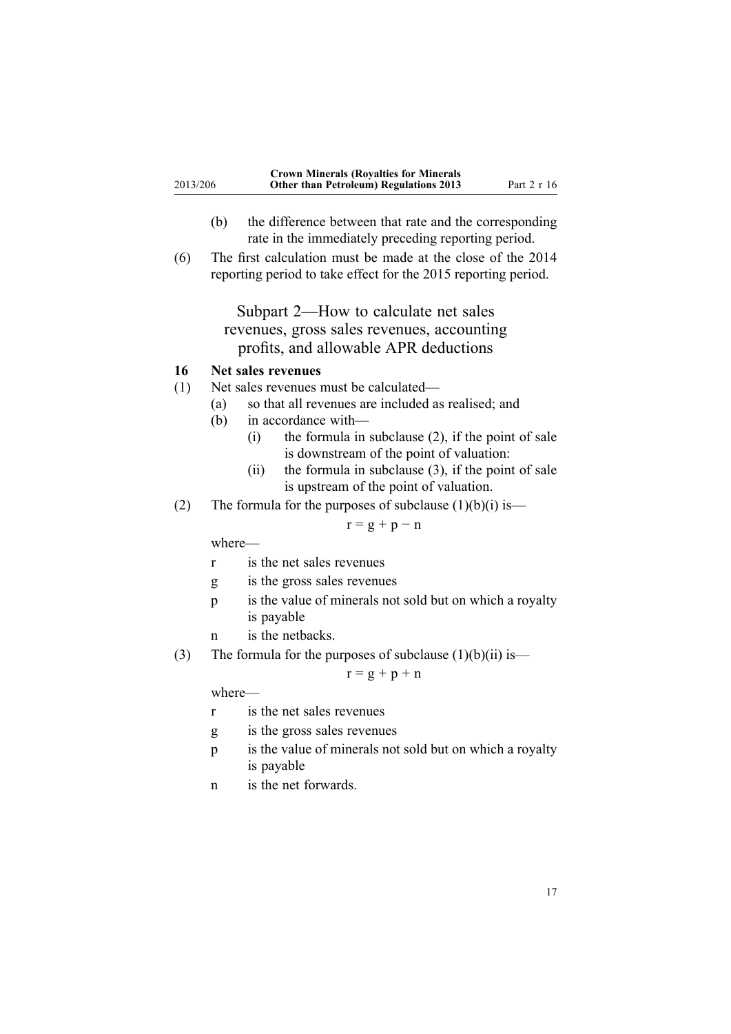- <span id="page-16-0"></span>(b) the difference between that rate and the corresponding rate in the immediately preceding reporting period.
- (6) The first calculation must be made at the close of the 2014 reporting period to take effect for the 2015 reporting period.

Subpart 2—How to calculate net sales revenues, gross sales revenues, accounting profits, and allowable APR deductions

## **16 Net sales revenues**

- (1) Net sales revenues must be calculated—
	- (a) so that all revenues are included as realised; and
	- (b) in accordance with—
		- $(i)$  the formula in subclause  $(2)$ , if the point of sale is downstream of the point of valuation:
		- (ii) the formula in subclause  $(3)$ , if the point of sale is upstream of the point of valuation.
- (2) The formula for the purposes of subclause  $(1)(b)(i)$  is—

 $r = g + p - n$ 

where—

- <sup>r</sup> is the net sales revenues
- g is the gross sales revenues
- p is the value of minerals not sold but on which <sup>a</sup> royalty is payable
- <sup>n</sup> is the netbacks.
- (3) The formula for the purposes of subclause  $(1)(b)(ii)$  is—

### $r = g + p + n$

where—

- <sup>r</sup> is the net sales revenues
- g is the gross sales revenues
- p is the value of minerals not sold but on which <sup>a</sup> royalty is payable
- <sup>n</sup> is the net forwards.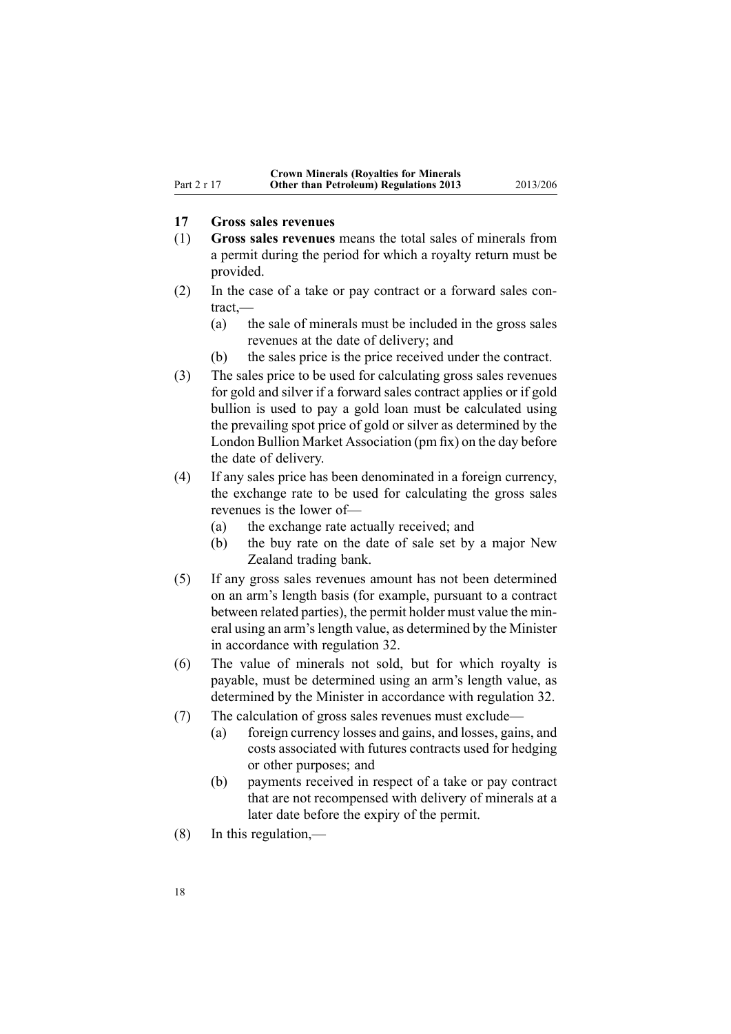### <span id="page-17-0"></span>**17 Gross sales revenues**

- (1) **Gross sales revenues** means the total sales of minerals from <sup>a</sup> permit during the period for which <sup>a</sup> royalty return must be provided.
- (2) In the case of <sup>a</sup> take or pay contract or <sup>a</sup> forward sales contract,—
	- (a) the sale of minerals must be included in the gross sales revenues at the date of delivery; and
	- (b) the sales price is the price received under the contract.
- (3) The sales price to be used for calculating gross sales revenues for gold and silver if <sup>a</sup> forward sales contract applies or if gold bullion is used to pay <sup>a</sup> gold loan must be calculated using the prevailing spo<sup>t</sup> price of gold or silver as determined by the London Bullion Market Association (pm fix) on the day before the date of delivery.
- (4) If any sales price has been denominated in <sup>a</sup> foreign currency, the exchange rate to be used for calculating the gross sales revenues is the lower of—
	- (a) the exchange rate actually received; and
	- (b) the buy rate on the date of sale set by <sup>a</sup> major New Zealand trading bank.
- (5) If any gross sales revenues amount has not been determined on an arm's length basis (for example, pursuan<sup>t</sup> to <sup>a</sup> contract between related parties), the permit holder must value the mineral using an arm'slength value, as determined by the Minister in accordance with regu[lation](#page-29-0) 32.
- (6) The value of minerals not sold, but for which royalty is payable, must be determined using an arm's length value, as determined by the Minister in accordance with regu[lation](#page-29-0) 32.
- (7) The calculation of gross sales revenues must exclude—
	- (a) foreign currency losses and gains, and losses, gains, and costs associated with futures contracts used for hedging or other purposes; and
	- (b) payments received in respec<sup>t</sup> of <sup>a</sup> take or pay contract that are not recompensed with delivery of minerals at <sup>a</sup> later date before the expiry of the permit.
- (8) In this regulation,—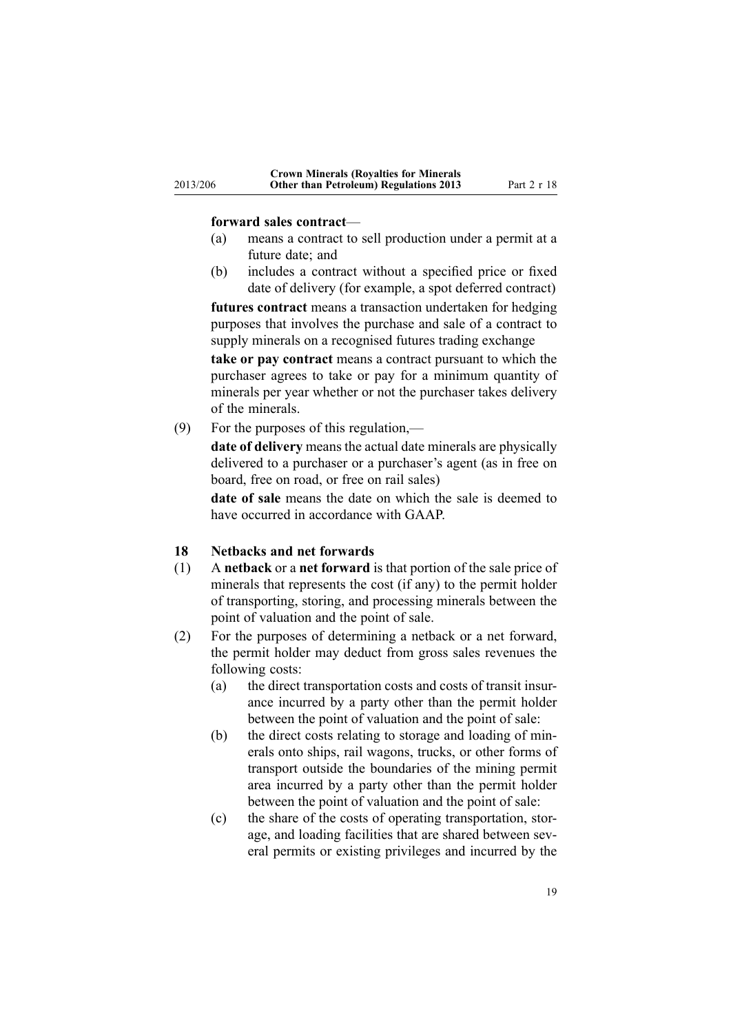#### **forward sales contract**—

<span id="page-18-0"></span>2013/206

- (a) means <sup>a</sup> contract to sell production under <sup>a</sup> permit at <sup>a</sup> future date; and
- (b) includes <sup>a</sup> contract without <sup>a</sup> specified price or fixed date of delivery (for example, <sup>a</sup> spo<sup>t</sup> deferred contract)

**futures contract** means <sup>a</sup> transaction undertaken for hedging purposes that involves the purchase and sale of <sup>a</sup> contract to supply minerals on <sup>a</sup> recognised futures trading exchange

**take or pay contract** means <sup>a</sup> contract pursuan<sup>t</sup> to which the purchaser agrees to take or pay for <sup>a</sup> minimum quantity of minerals per year whether or not the purchaser takes delivery of the minerals.

(9) For the purposes of this regulation,—

**date of delivery** means the actual date minerals are physically delivered to <sup>a</sup> purchaser or <sup>a</sup> purchaser's agen<sup>t</sup> (as in free on board, free on road, or free on rail sales)

**date of sale** means the date on which the sale is deemed to have occurred in accordance with GAAP.

#### **18 Netbacks and net forwards**

- (1) A **netback** or <sup>a</sup> **net forward** is that portion of the sale price of minerals that represents the cost (if any) to the permit holder of transporting, storing, and processing minerals between the point of valuation and the point of sale.
- (2) For the purposes of determining <sup>a</sup> netback or <sup>a</sup> net forward, the permit holder may deduct from gross sales revenues the following costs:
	- (a) the direct transportation costs and costs of transit insurance incurred by <sup>a</sup> party other than the permit holder between the point of valuation and the point of sale:
	- (b) the direct costs relating to storage and loading of minerals onto ships, rail wagons, trucks, or other forms of transport outside the boundaries of the mining permit area incurred by <sup>a</sup> party other than the permit holder between the point of valuation and the point of sale:
	- (c) the share of the costs of operating transportation, storage, and loading facilities that are shared between several permits or existing privileges and incurred by the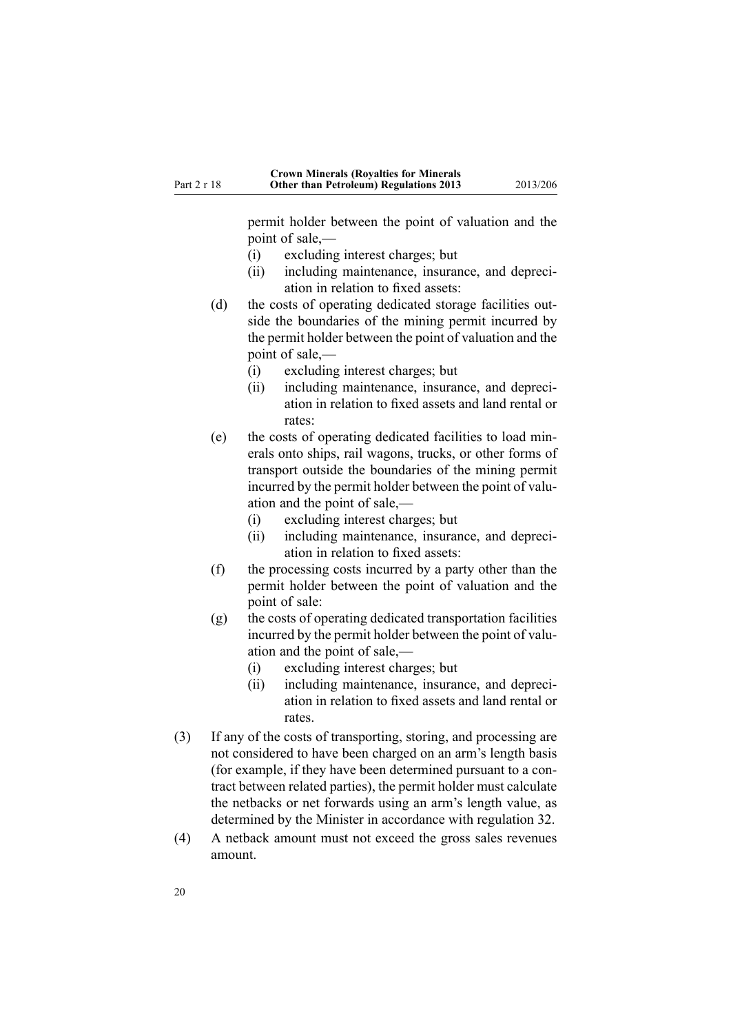permit holder between the point of valuation and the point of sale,—

- (i) excluding interest charges; but
- (ii) including maintenance, insurance, and depreciation in relation to fixed assets:
- (d) the costs of operating dedicated storage facilities outside the boundaries of the mining permit incurred by the permit holder between the point of valuation and the point of sale,—
	- (i) excluding interest charges; but
	- (ii) including maintenance, insurance, and depreciation in relation to fixed assets and land rental or rates:
- (e) the costs of operating dedicated facilities to load minerals onto ships, rail wagons, trucks, or other forms of transport outside the boundaries of the mining permit incurred by the permit holder between the point of valuation and the point of sale,—
	- (i) excluding interest charges; but
	- (ii) including maintenance, insurance, and depreciation in relation to fixed assets:
- (f) the processing costs incurred by <sup>a</sup> party other than the permit holder between the point of valuation and the point of sale:
- (g) the costs of operating dedicated transportation facilities incurred by the permit holder between the point of valuation and the point of sale,—
	- (i) excluding interest charges; but
	- (ii) including maintenance, insurance, and depreciation in relation to fixed assets and land rental or rates.
- (3) If any of the costs of transporting, storing, and processing are not considered to have been charged on an arm's length basis (for example, if they have been determined pursuan<sup>t</sup> to <sup>a</sup> contract between related parties), the permit holder must calculate the netbacks or net forwards using an arm's length value, as determined by the Minister in accordance with regu[lation](#page-29-0) 32.
- (4) A netback amount must not exceed the gross sales revenues amount.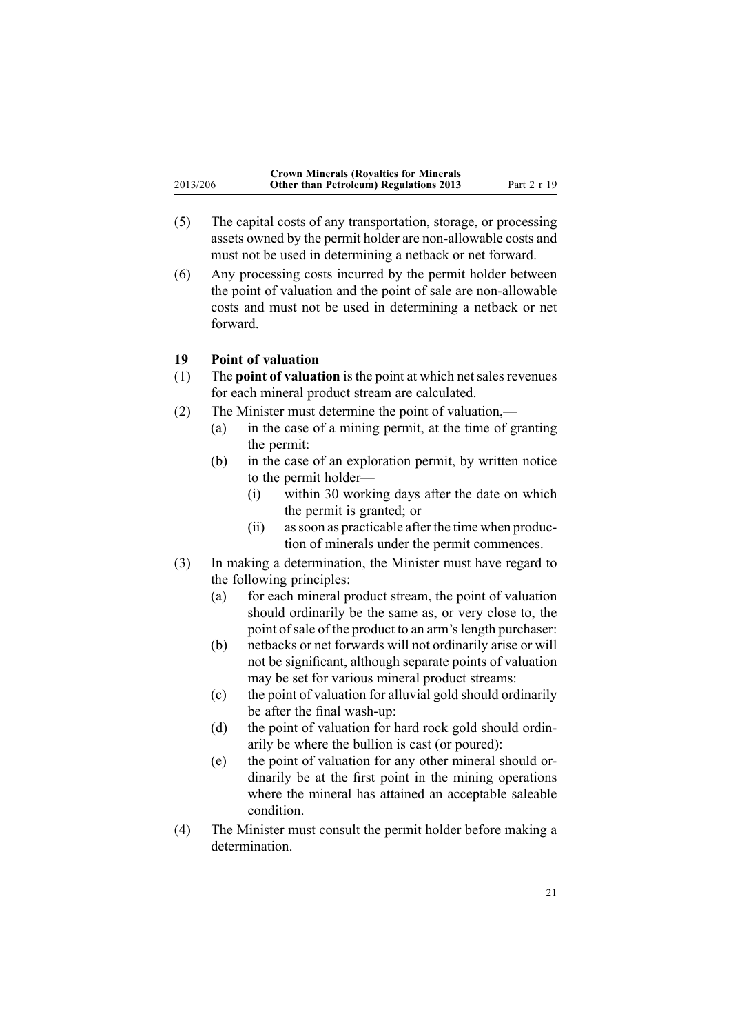<span id="page-20-0"></span>

|          | <b>Crown Minerals (Royalties for Minerals</b> |             |
|----------|-----------------------------------------------|-------------|
| 2013/206 | <b>Other than Petroleum) Regulations 2013</b> | Part 2 r 19 |

- (5) The capital costs of any transportation, storage, or processing assets owned by the permit holder are non-allowable costs and must not be used in determining <sup>a</sup> netback or net forward.
- (6) Any processing costs incurred by the permit holder between the point of valuation and the point of sale are non-allowable costs and must not be used in determining <sup>a</sup> netback or net forward.

### **19 Point of valuation**

- (1) The **point of valuation** is the point at which net sales revenues for each mineral product stream are calculated.
- (2) The Minister must determine the point of valuation,—
	- (a) in the case of <sup>a</sup> mining permit, at the time of granting the permit:
	- (b) in the case of an exploration permit, by written notice to the permit holder—
		- (i) within 30 working days after the date on which the permit is granted; or
		- (ii) assoon as practicable after the time when production of minerals under the permit commences.
- (3) In making <sup>a</sup> determination, the Minister must have regard to the following principles:
	- (a) for each mineral product stream, the point of valuation should ordinarily be the same as, or very close to, the point of sale of the product to an arm's length purchaser:
	- (b) netbacks or net forwards will not ordinarily arise or will not be significant, although separate points of valuation may be set for various mineral product streams:
	- (c) the point of valuation for alluvial gold should ordinarily be after the final wash-up:
	- (d) the point of valuation for hard rock gold should ordinarily be where the bullion is cast (or poured):
	- (e) the point of valuation for any other mineral should ordinarily be at the first point in the mining operations where the mineral has attained an acceptable saleable condition.
- (4) The Minister must consult the permit holder before making <sup>a</sup> determination.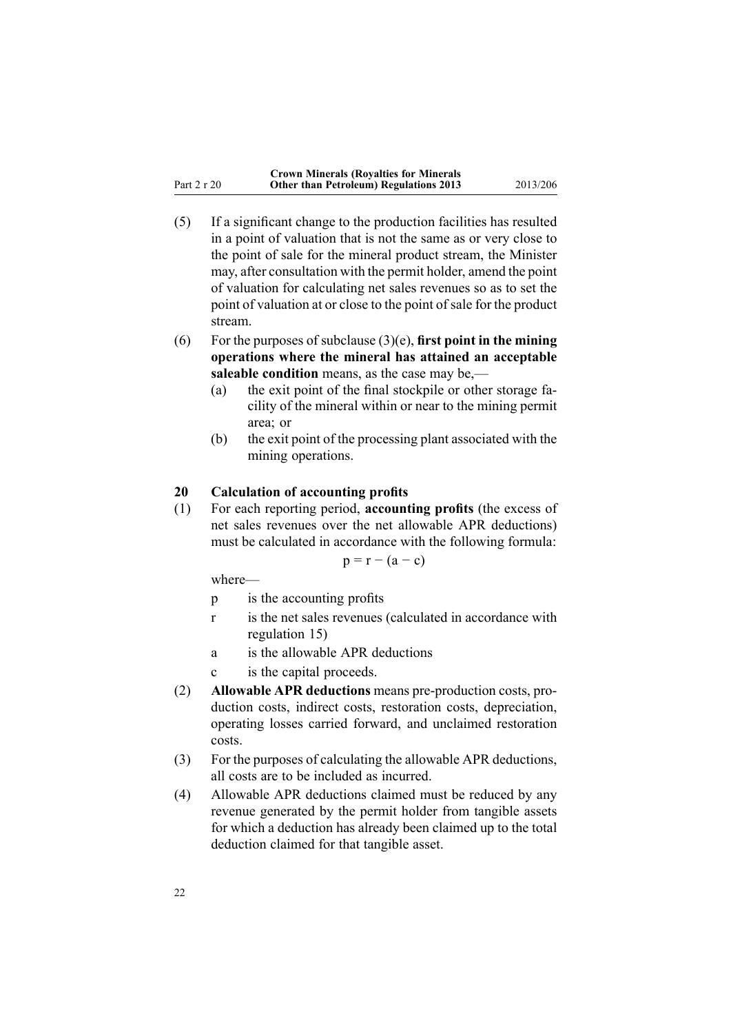- <span id="page-21-0"></span>(5) If <sup>a</sup> significant change to the production facilities has resulted in <sup>a</sup> point of valuation that is not the same as or very close to the point of sale for the mineral product stream, the Minister may, after consultation with the permit holder, amend the point of valuation for calculating net sales revenues so as to set the point of valuation at or close to the point of sale for the product stream.
- (6) For the purposes of subclause (3)(e), **first point in the mining operations where the mineral has attained an acceptable saleable condition** means, as the case may be,—
	- (a) the exit point of the final stockpile or other storage facility of the mineral within or near to the mining permit area; or
	- (b) the exit point of the processing plant associated with the mining operations.

### **20 Calculation of accounting profits**

(1) For each reporting period, **accounting profits** (the excess of net sales revenues over the net allowable APR deductions) must be calculated in accordance with the following formula:

$$
p = r - (a - c)
$$

where—

- p is the accounting profits
- <sup>r</sup> is the net sales revenues (calculated in accordance with regu[lation](#page-15-0) 15)
- <sup>a</sup> is the allowable APR deductions
- <sup>c</sup> is the capital proceeds.
- (2) **Allowable APR deductions** means pre-production costs, production costs, indirect costs, restoration costs, depreciation, operating losses carried forward, and unclaimed restoration costs.
- (3) For the purposes of calculating the allowable APR deductions, all costs are to be included as incurred.
- (4) Allowable APR deductions claimed must be reduced by any revenue generated by the permit holder from tangible assets for which <sup>a</sup> deduction has already been claimed up to the total deduction claimed for that tangible asset.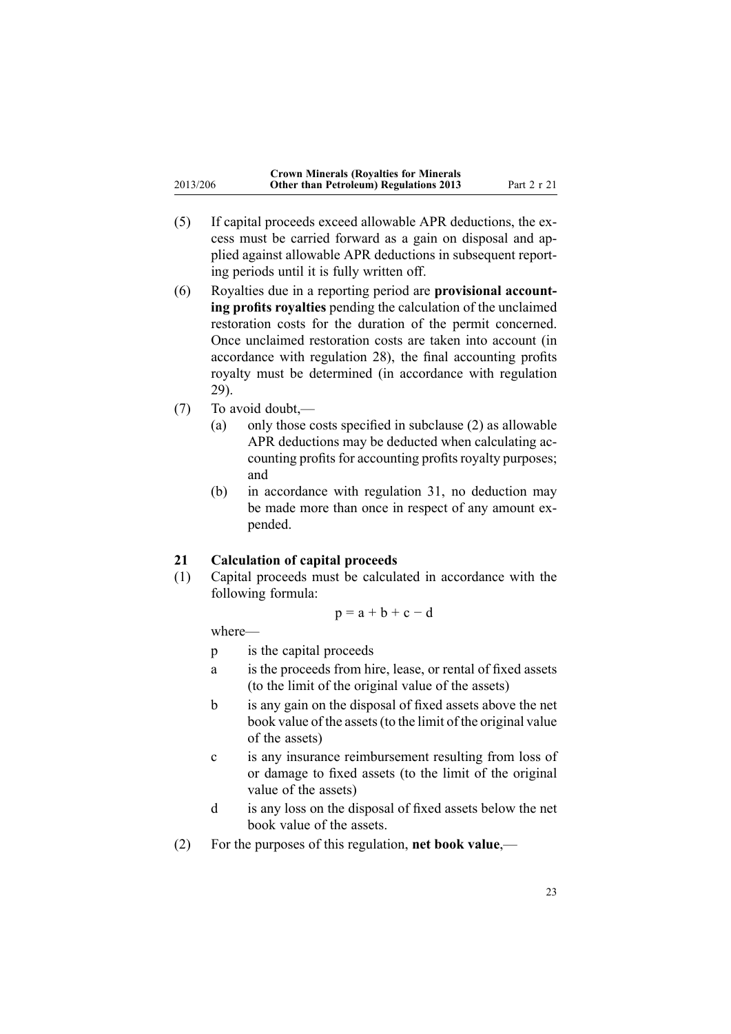<span id="page-22-0"></span>

|          | <b>Crown Minerals (Royalties for Minerals</b> |             |
|----------|-----------------------------------------------|-------------|
| 2013/206 | <b>Other than Petroleum) Regulations 2013</b> | Part 2 r 21 |

- (5) If capital proceeds exceed allowable APR deductions, the excess must be carried forward as <sup>a</sup> gain on disposal and applied against allowable APR deductions in subsequent reporting periods until it is fully written off.
- (6) Royalties due in <sup>a</sup> reporting period are **provisional accounting profits royalties** pending the calculation of the unclaimed restoration costs for the duration of the permit concerned. Once unclaimed restoration costs are taken into account (in accordance with regu[lation](#page-27-0) 28), the final accounting profits royalty must be determined (in accordance with regu[lation](#page-28-0) [29](#page-28-0)).
- (7) To avoid doubt,—
	- (a) only those costs specified in subclause (2) as allowable APR deductions may be deducted when calculating accounting profits for accounting profits royalty purposes; and
	- (b) in accordance with regu[lation](#page-28-0) 31, no deduction may be made more than once in respec<sup>t</sup> of any amount expended.

### **21 Calculation of capital proceeds**

(1) Capital proceeds must be calculated in accordance with the following formula:

$$
p = a + b + c - d
$$

where—

- p is the capital proceeds
- <sup>a</sup> is the proceeds from hire, lease, or rental of fixed assets (to the limit of the original value of the assets)
- b is any gain on the disposal of fixed assets above the net book value of the assets(to the limit of the original value of the assets)
- <sup>c</sup> is any insurance reimbursement resulting from loss of or damage to fixed assets (to the limit of the original value of the assets)
- d is any loss on the disposal of fixed assets below the net book value of the assets.
- (2) For the purposes of this regulation, **net book value**,—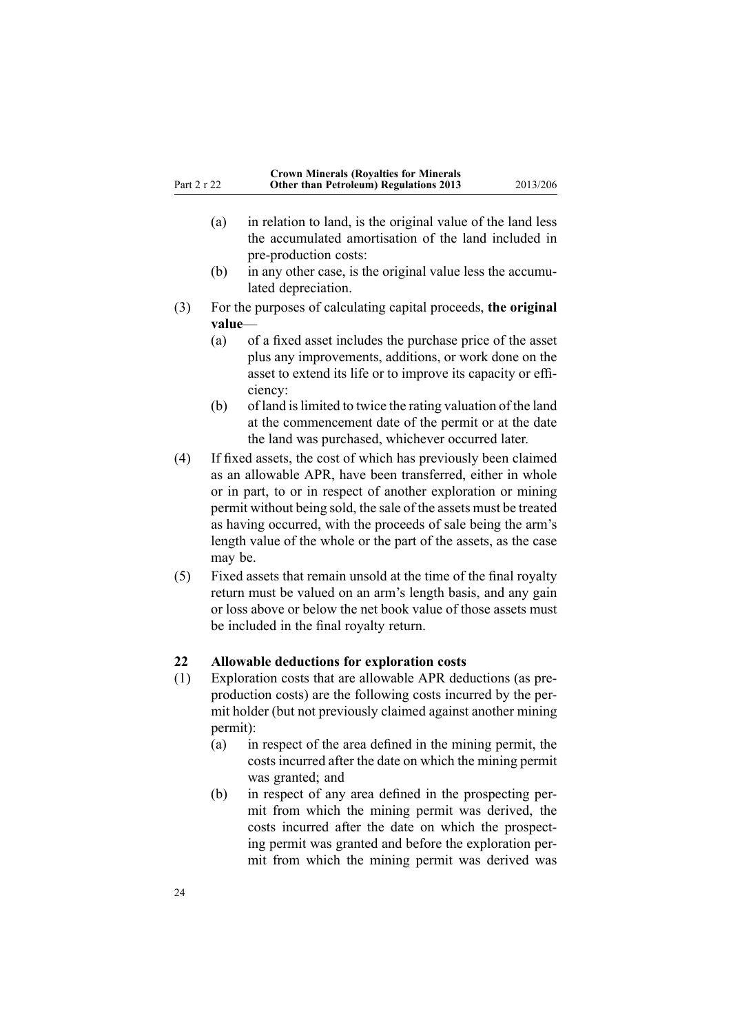- <span id="page-23-0"></span>(a) in relation to land, is the original value of the land less the accumulated amortisation of the land included in pre-production costs:
- (b) in any other case, is the original value less the accumulated depreciation.
- (3) For the purposes of calculating capital proceeds, **the original value**—
	- (a) of <sup>a</sup> fixed asset includes the purchase price of the asset plus any improvements, additions, or work done on the asset to extend its life or to improve its capacity or efficiency:
	- (b) of land islimited to twice the rating valuation of the land at the commencement date of the permit or at the date the land was purchased, whichever occurred later.
- (4) If fixed assets, the cost of which has previously been claimed as an allowable APR, have been transferred, either in whole or in part, to or in respec<sup>t</sup> of another exploration or mining permit without being sold, the sale of the assets must be treated as having occurred, with the proceeds of sale being the arm's length value of the whole or the par<sup>t</sup> of the assets, as the case may be.
- (5) Fixed assets that remain unsold at the time of the final royalty return must be valued on an arm's length basis, and any gain or loss above or below the net book value of those assets must be included in the final royalty return.

#### **22 Allowable deductions for exploration costs**

- (1) Exploration costs that are allowable APR deductions (as preproduction costs) are the following costs incurred by the permit holder (but not previously claimed against another mining permit):
	- (a) in respec<sup>t</sup> of the area defined in the mining permit, the costs incurred after the date on which the mining permit was granted; and
	- (b) in respec<sup>t</sup> of any area defined in the prospecting permit from which the mining permit was derived, the costs incurred after the date on which the prospecting permit was granted and before the exploration permit from which the mining permit was derived was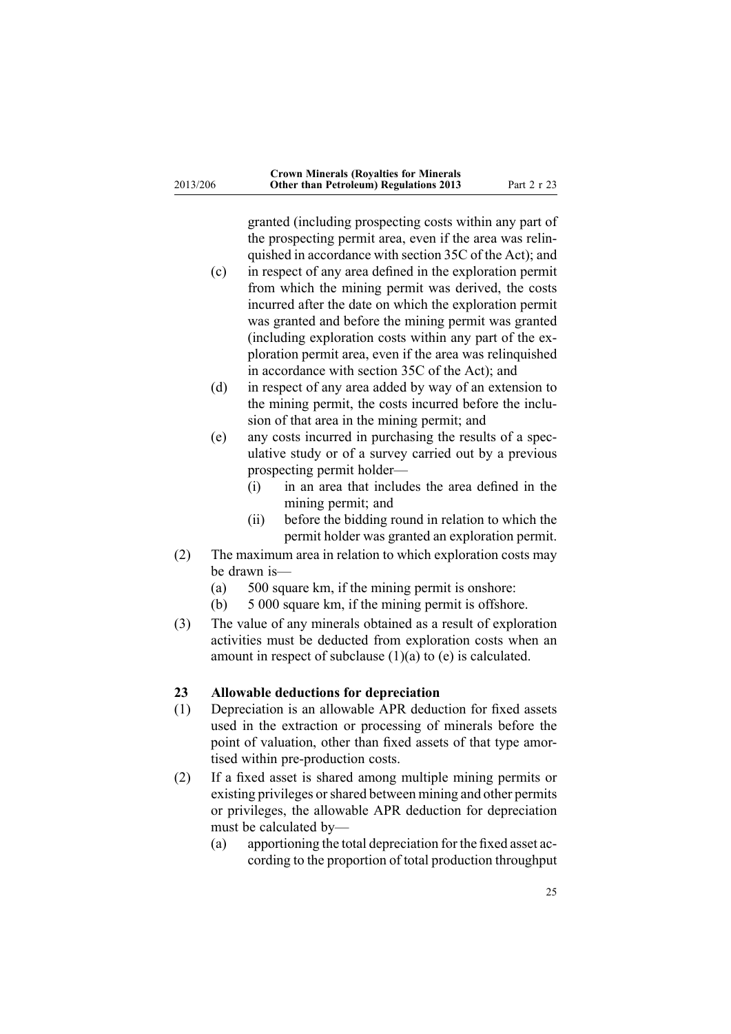<span id="page-24-0"></span>granted (including prospecting costs within any par<sup>t</sup> of the prospecting permit area, even if the area was relinquished in accordance with section 35C of the Act); and

- (c) in respec<sup>t</sup> of any area defined in the exploration permit from which the mining permit was derived, the costs incurred after the date on which the exploration permit was granted and before the mining permit was granted (including exploration costs within any par<sup>t</sup> of the exploration permit area, even if the area was relinquished in accordance with section 35C of the Act); and
- (d) in respec<sup>t</sup> of any area added by way of an extension to the mining permit, the costs incurred before the inclusion of that area in the mining permit; and
- (e) any costs incurred in purchasing the results of <sup>a</sup> speculative study or of <sup>a</sup> survey carried out by <sup>a</sup> previous prospecting permit holder—
	- (i) in an area that includes the area defined in the mining permit; and
	- (ii) before the bidding round in relation to which the permit holder was granted an exploration permit.
- (2) The maximum area in relation to which exploration costs may be drawn is—
	- (a) 500 square km, if the mining permit is onshore:
	- (b) 5 000 square km, if the mining permit is offshore.
- (3) The value of any minerals obtained as <sup>a</sup> result of exploration activities must be deducted from exploration costs when an amount in respect of subclause  $(1)(a)$  to  $(e)$  is calculated.

### **23 Allowable deductions for depreciation**

- (1) Depreciation is an allowable APR deduction for fixed assets used in the extraction or processing of minerals before the point of valuation, other than fixed assets of that type amortised within pre-production costs.
- (2) If <sup>a</sup> fixed asset is shared among multiple mining permits or existing privileges orshared between mining and other permits or privileges, the allowable APR deduction for depreciation must be calculated by—
	- (a) apportioning the total depreciation for the fixed asset according to the proportion of total production throughput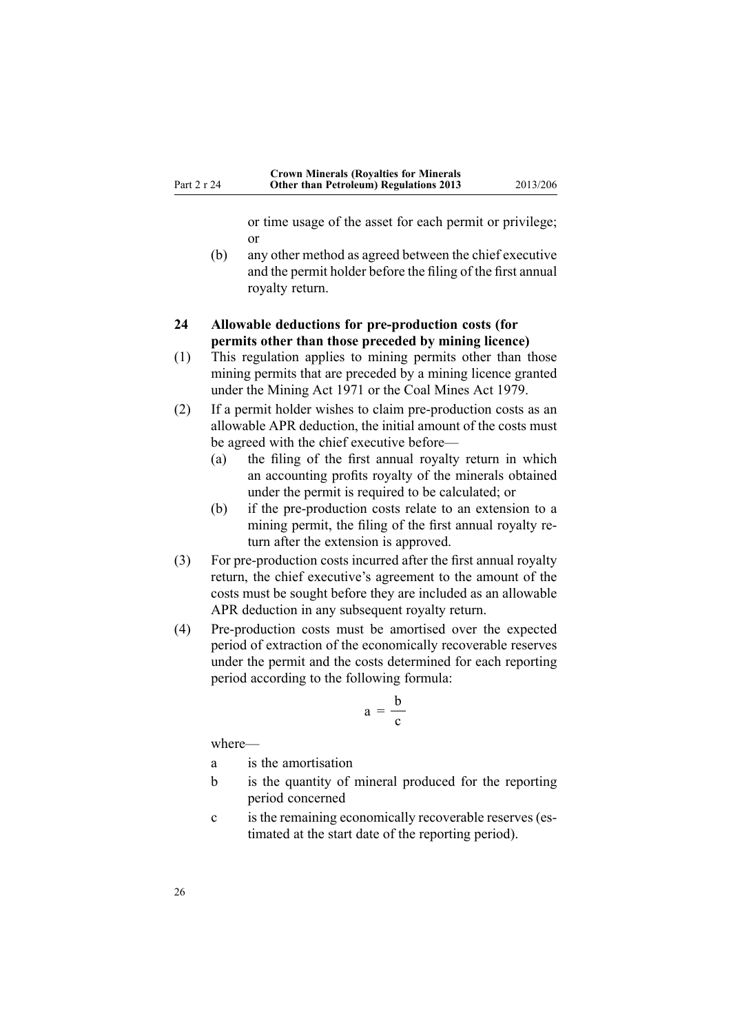or time usage of the asset for each permit or privilege; or

<span id="page-25-0"></span>(b) any other method as agreed between the chief executive and the permit holder before the filing of the first annual royalty return.

### **24 Allowable deductions for pre-production costs (for permits other than those preceded by mining licence)**

- (1) This regulation applies to mining permits other than those mining permits that are preceded by <sup>a</sup> mining licence granted under the Mining Act 1971 or the Coal Mines Act 1979.
- (2) If <sup>a</sup> permit holder wishes to claim pre-production costs as an allowable APR deduction, the initial amount of the costs must be agreed with the chief executive before—
	- (a) the filing of the first annual royalty return in which an accounting profits royalty of the minerals obtained under the permit is required to be calculated; or
	- (b) if the pre-production costs relate to an extension to <sup>a</sup> mining permit, the filing of the first annual royalty return after the extension is approved.
- (3) For pre-production costs incurred after the first annual royalty return, the chief executive's agreemen<sup>t</sup> to the amount of the costs must be sought before they are included as an allowable APR deduction in any subsequent royalty return.
- (4) Pre-production costs must be amortised over the expected period of extraction of the economically recoverable reserves under the permit and the costs determined for each reporting period according to the following formula:

$$
a = \frac{b}{c}
$$

where—

- <sup>a</sup> is the amortisation
- b is the quantity of mineral produced for the reporting period concerned
- <sup>c</sup> is the remaining economically recoverable reserves (estimated at the start date of the reporting period).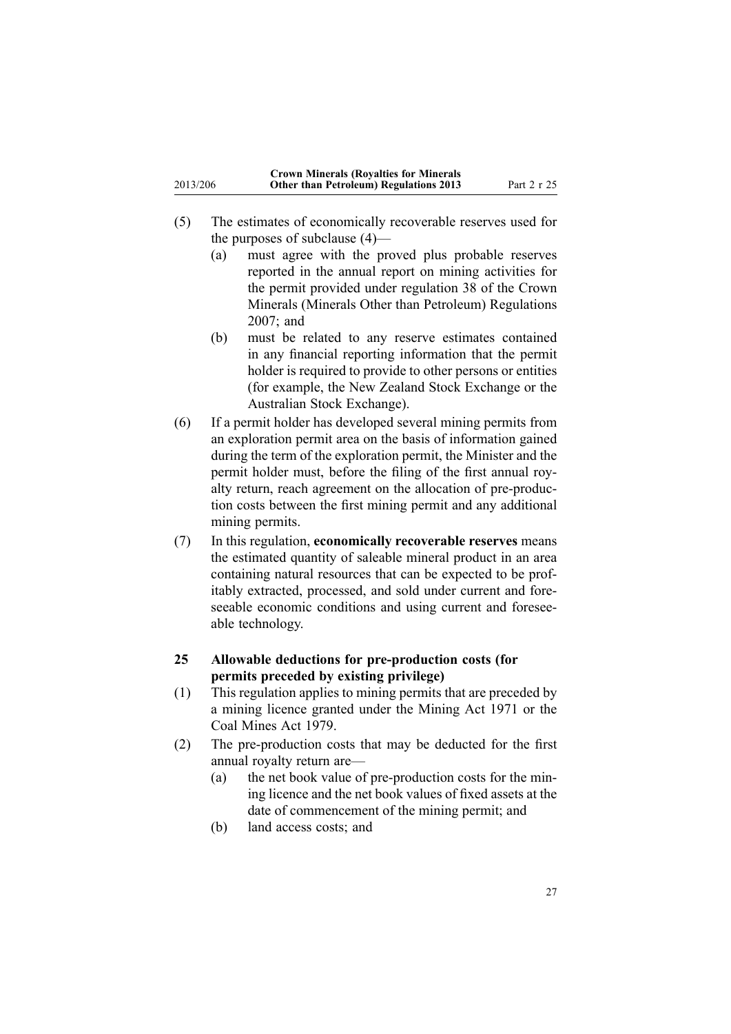- <span id="page-26-0"></span>(5) The estimates of economically recoverable reserves used for the purposes of subclause (4)—
	- (a) must agree with the proved plus probable reserves reported in the annual repor<sup>t</sup> on mining activities for the permit provided under regulation 38 of the Crown Minerals (Minerals Other than Petroleum) Regulations 2007; and
	- (b) must be related to any reserve estimates contained in any financial reporting information that the permit holder is required to provide to other persons or entities (for example, the New Zealand Stock Exchange or the Australian Stock Exchange).
- (6) If <sup>a</sup> permit holder has developed several mining permits from an exploration permit area on the basis of information gained during the term of the exploration permit, the Minister and the permit holder must, before the filing of the first annual royalty return, reach agreemen<sup>t</sup> on the allocation of pre-production costs between the first mining permit and any additional mining permits.
- (7) In this regulation, **economically recoverable reserves** means the estimated quantity of saleable mineral product in an area containing natural resources that can be expected to be profitably extracted, processed, and sold under current and foreseeable economic conditions and using current and foreseeable technology.
- **25 Allowable deductions for pre-production costs (for permits preceded by existing privilege)**
- (1) This regulation applies to mining permits that are preceded by <sup>a</sup> mining licence granted under the Mining Act 1971 or the Coal Mines Act 1979.
- (2) The pre-production costs that may be deducted for the first annual royalty return are—
	- (a) the net book value of pre-production costs for the mining licence and the net book values of fixed assets at the date of commencement of the mining permit; and
	- (b) land access costs; and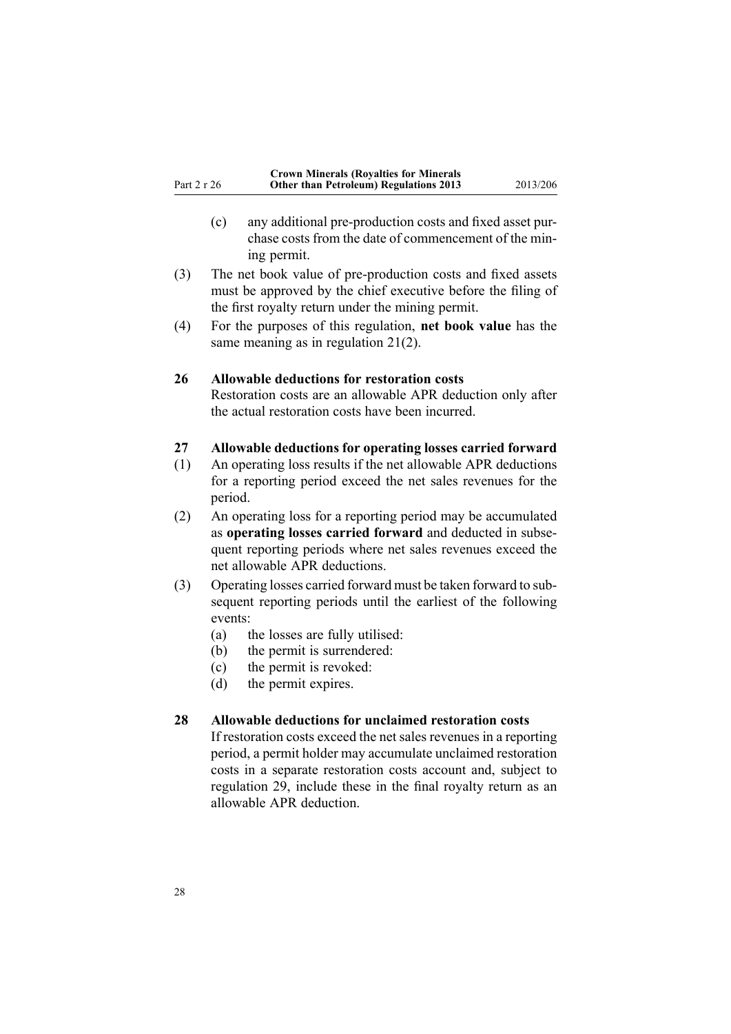- <span id="page-27-0"></span>(c) any additional pre-production costs and fixed asset purchase costs from the date of commencement of the mining permit.
- (3) The net book value of pre-production costs and fixed assets must be approved by the chief executive before the filing of the first royalty return under the mining permit.
- (4) For the purposes of this regulation, **net book value** has the same meaning as in regulation [21\(2\)](#page-22-0).

#### **26 Allowable deductions for restoration costs**

Restoration costs are an allowable APR deduction only after the actual restoration costs have been incurred.

#### **27 Allowable deductions for operating losses carried forward**

- (1) An operating loss results if the net allowable APR deductions for <sup>a</sup> reporting period exceed the net sales revenues for the period.
- (2) An operating loss for <sup>a</sup> reporting period may be accumulated as **operating losses carried forward** and deducted in subsequen<sup>t</sup> reporting periods where net sales revenues exceed the net allowable APR deductions.
- (3) Operating losses carried forward must be taken forward to subsequen<sup>t</sup> reporting periods until the earliest of the following events:
	- (a) the losses are fully utilised:
	- (b) the permit is surrendered:
	- (c) the permit is revoked:
	- (d) the permit expires.

### **28 Allowable deductions for unclaimed restoration costs**

If restoration costs exceed the net sales revenues in <sup>a</sup> reporting period, <sup>a</sup> permit holder may accumulate unclaimed restoration costs in <sup>a</sup> separate restoration costs account and, subject to regu[lation](#page-28-0) 29, include these in the final royalty return as an allowable APR deduction.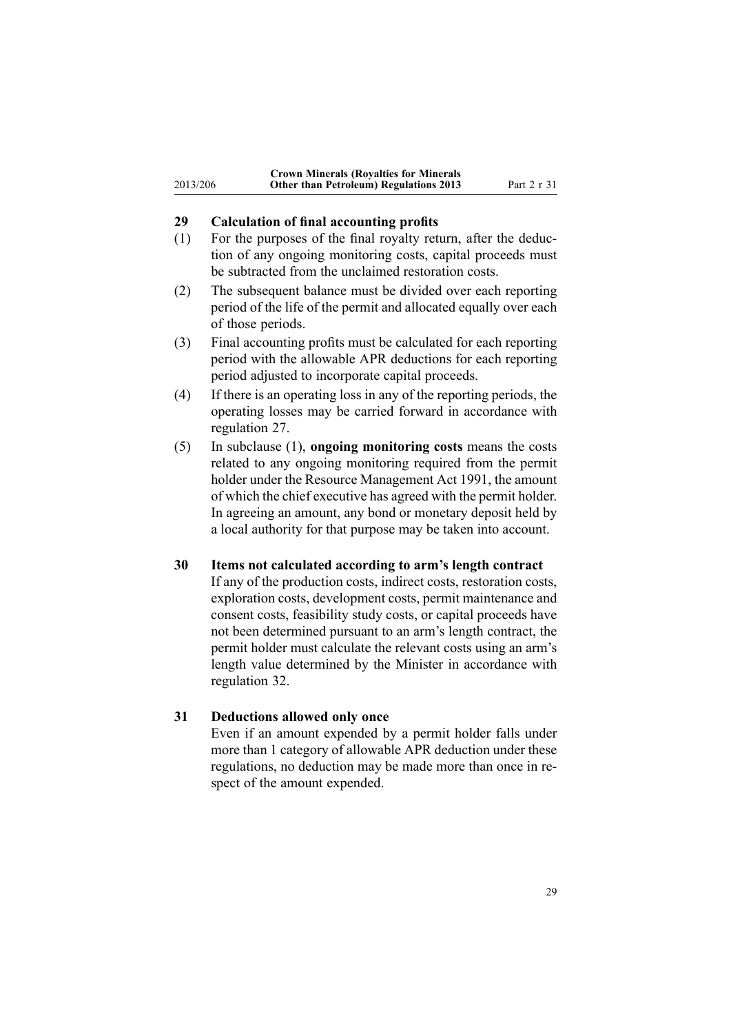<span id="page-28-0"></span>

|          | <b>Crown Minerals (Royalties for Minerals</b> |             |
|----------|-----------------------------------------------|-------------|
| 2013/206 | <b>Other than Petroleum) Regulations 2013</b> | Part 2 r 31 |

### **29 Calculation of final accounting profits**

- (1) For the purposes of the final royalty return, after the deduction of any ongoing monitoring costs, capital proceeds must be subtracted from the unclaimed restoration costs.
- (2) The subsequent balance must be divided over each reporting period of the life of the permit and allocated equally over each of those periods.
- (3) Final accounting profits must be calculated for each reporting period with the allowable APR deductions for each reporting period adjusted to incorporate capital proceeds.
- (4) If there is an operating loss in any of the reporting periods, the operating losses may be carried forward in accordance with regu[lation](#page-27-0) 27.
- (5) In subclause (1), **ongoing monitoring costs** means the costs related to any ongoing monitoring required from the permit holder under the Resource [Management](http://www.legislation.govt.nz/pdflink.aspx?id=DLM230264) Act 1991, the amount of which the chief executive has agreed with the permit holder. In agreeing an amount, any bond or monetary deposit held by <sup>a</sup> local authority for that purpose may be taken into account.

#### **30 Items not calculated according to arm's length contract**

If any of the production costs, indirect costs, restoration costs, exploration costs, development costs, permit maintenance and consent costs, feasibility study costs, or capital proceeds have not been determined pursuan<sup>t</sup> to an arm's length contract, the permit holder must calculate the relevant costs using an arm's length value determined by the Minister in accordance with regu[lation](#page-29-0) 32.

### **31 Deductions allowed only once**

Even if an amount expended by <sup>a</sup> permit holder falls under more than 1 category of allowable APR deduction under these regulations, no deduction may be made more than once in respec<sup>t</sup> of the amount expended.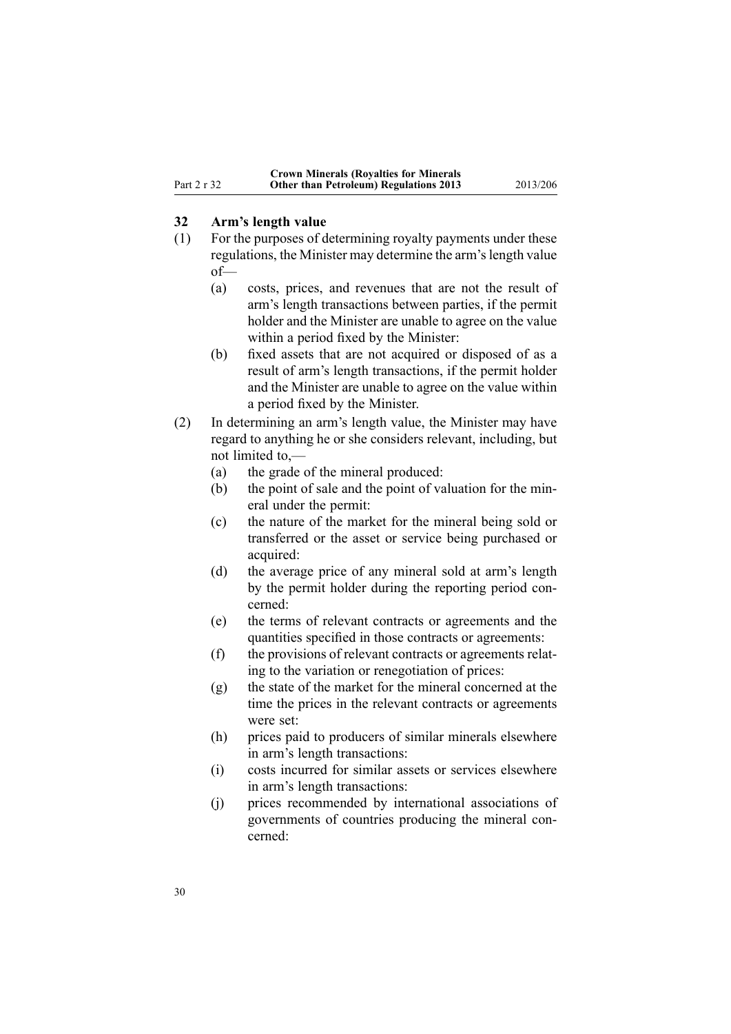### <span id="page-29-0"></span>**32 Arm's length value**

- (1) For the purposes of determining royalty payments under these regulations, the Minister may determine the arm's length value of—
	- (a) costs, prices, and revenues that are not the result of arm's length transactions between parties, if the permit holder and the Minister are unable to agree on the value within <sup>a</sup> period fixed by the Minister:
	- (b) fixed assets that are not acquired or disposed of as <sup>a</sup> result of arm's length transactions, if the permit holder and the Minister are unable to agree on the value within <sup>a</sup> period fixed by the Minister.
- (2) In determining an arm's length value, the Minister may have regard to anything he or she considers relevant, including, but not limited to,—
	- (a) the grade of the mineral produced:
	- (b) the point of sale and the point of valuation for the mineral under the permit:
	- (c) the nature of the market for the mineral being sold or transferred or the asset or service being purchased or acquired:
	- (d) the average price of any mineral sold at arm's length by the permit holder during the reporting period concerned:
	- (e) the terms of relevant contracts or agreements and the quantities specified in those contracts or agreements:
	- (f) the provisions of relevant contracts or agreements relating to the variation or renegotiation of prices:
	- (g) the state of the market for the mineral concerned at the time the prices in the relevant contracts or agreements were set:
	- (h) prices paid to producers of similar minerals elsewhere in arm's length transactions:
	- (i) costs incurred for similar assets or services elsewhere in arm's length transactions:
	- (j) prices recommended by international associations of governments of countries producing the mineral concerned: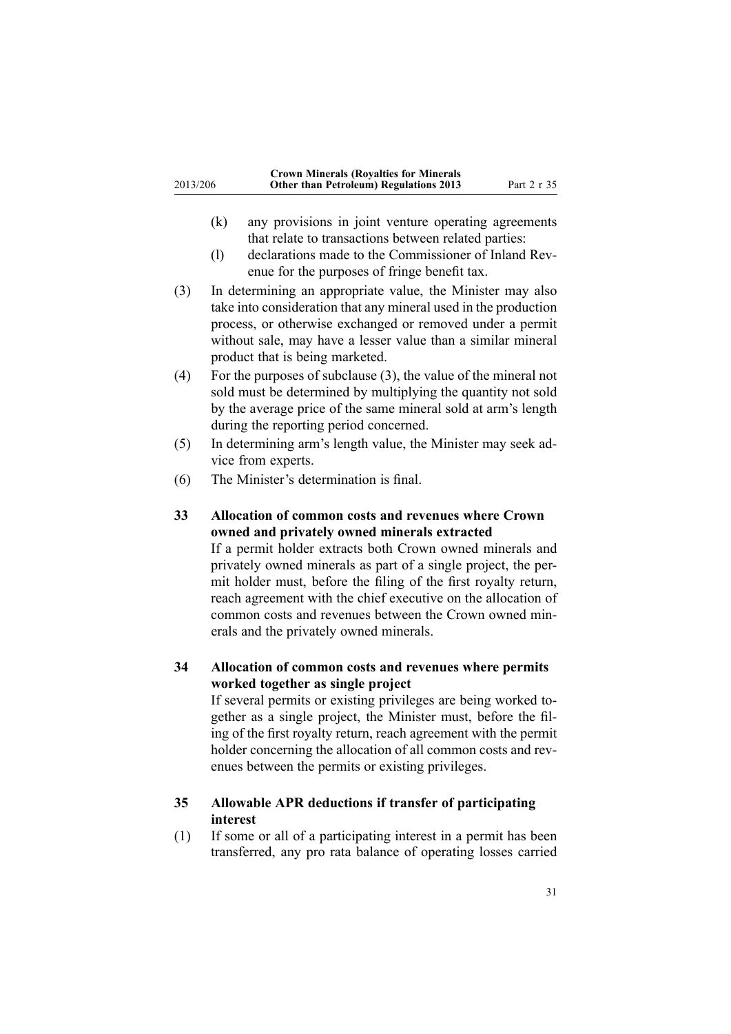<span id="page-30-0"></span>

|          | <b>Crown Minerals (Royalties for Minerals</b> |             |
|----------|-----------------------------------------------|-------------|
| 2013/206 | <b>Other than Petroleum) Regulations 2013</b> | Part 2 r 35 |

- (k) any provisions in joint venture operating agreements that relate to transactions between related parties:
- (l) declarations made to the Commissioner of Inland Revenue for the purposes of fringe benefit tax.
- (3) In determining an appropriate value, the Minister may also take into consideration that any mineral used in the production process, or otherwise exchanged or removed under <sup>a</sup> permit without sale, may have <sup>a</sup> lesser value than <sup>a</sup> similar mineral product that is being marketed.
- (4) For the purposes of subclause (3), the value of the mineral not sold must be determined by multiplying the quantity not sold by the average price of the same mineral sold at arm's length during the reporting period concerned.
- (5) In determining arm's length value, the Minister may seek advice from experts.
- (6) The Minister's determination is final.
- **33 Allocation of common costs and revenues where Crown owned and privately owned minerals extracted** If <sup>a</sup> permit holder extracts both Crown owned minerals and

privately owned minerals as par<sup>t</sup> of <sup>a</sup> single project, the permit holder must, before the filing of the first royalty return, reach agreemen<sup>t</sup> with the chief executive on the allocation of common costs and revenues between the Crown owned minerals and the privately owned minerals.

**34 Allocation of common costs and revenues where permits worked together as single project**

If several permits or existing privileges are being worked together as <sup>a</sup> single project, the Minister must, before the filing of the first royalty return, reach agreemen<sup>t</sup> with the permit holder concerning the allocation of all common costs and revenues between the permits or existing privileges.

### **35 Allowable APR deductions if transfer of participating interest**

(1) If some or all of <sup>a</sup> participating interest in <sup>a</sup> permit has been transferred, any pro rata balance of operating losses carried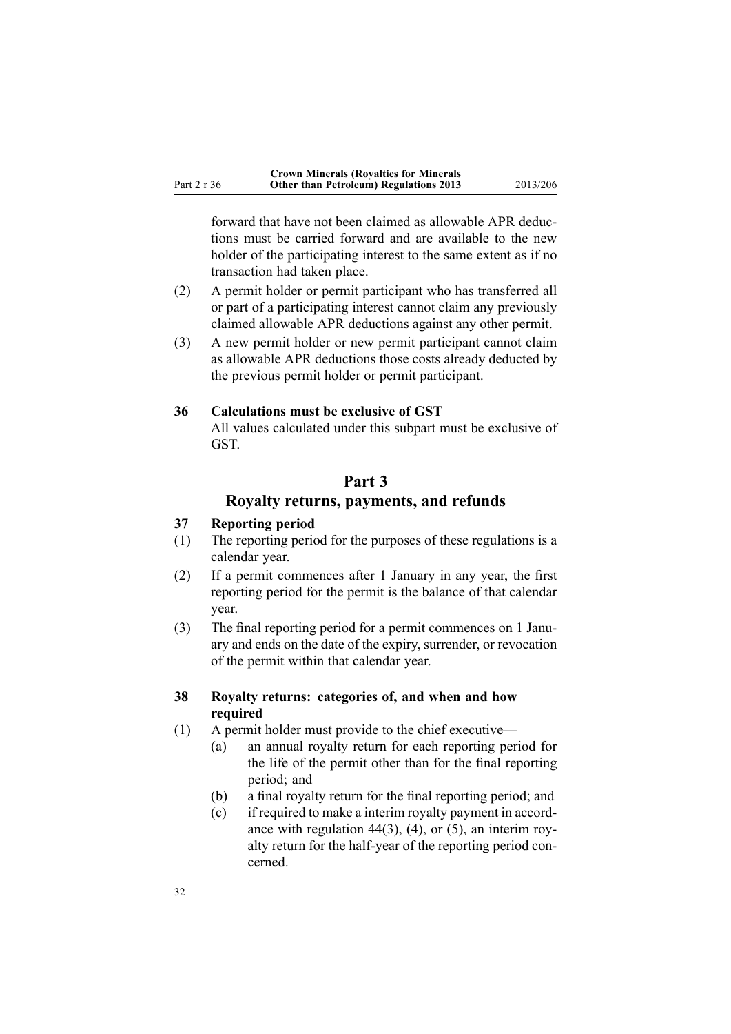<span id="page-31-0"></span>forward that have not been claimed as allowable APR deductions must be carried forward and are available to the new holder of the participating interest to the same extent as if no transaction had taken place.

- (2) A permit holder or permit participant who has transferred all or par<sup>t</sup> of <sup>a</sup> participating interest cannot claim any previously claimed allowable APR deductions against any other permit.
- (3) A new permit holder or new permit participant cannot claim as allowable APR deductions those costs already deducted by the previous permit holder or permit participant.

### **36 Calculations must be exclusive of GST**

All values calculated under this subpart must be exclusive of GST.

# **Part 3**

### **Royalty returns, payments, and refunds**

### **37 Reporting period**

- (1) The reporting period for the purposes of these regulations is <sup>a</sup> calendar year.
- (2) If <sup>a</sup> permit commences after 1 January in any year, the first reporting period for the permit is the balance of that calendar year.
- (3) The final reporting period for <sup>a</sup> permit commences on 1 January and ends on the date of the expiry, surrender, or revocation of the permit within that calendar year.

### **38 Royalty returns: categories of, and when and how required**

- (1) A permit holder must provide to the chief executive—
	- (a) an annual royalty return for each reporting period for the life of the permit other than for the final reporting period; and
	- (b) <sup>a</sup> final royalty return for the final reporting period; and
	- (c) if required to make <sup>a</sup> interim royalty paymen<sup>t</sup> in accordance with regulation [44\(3\)](#page-39-0), (4), or (5), an interim royalty return for the half-year of the reporting period concerned.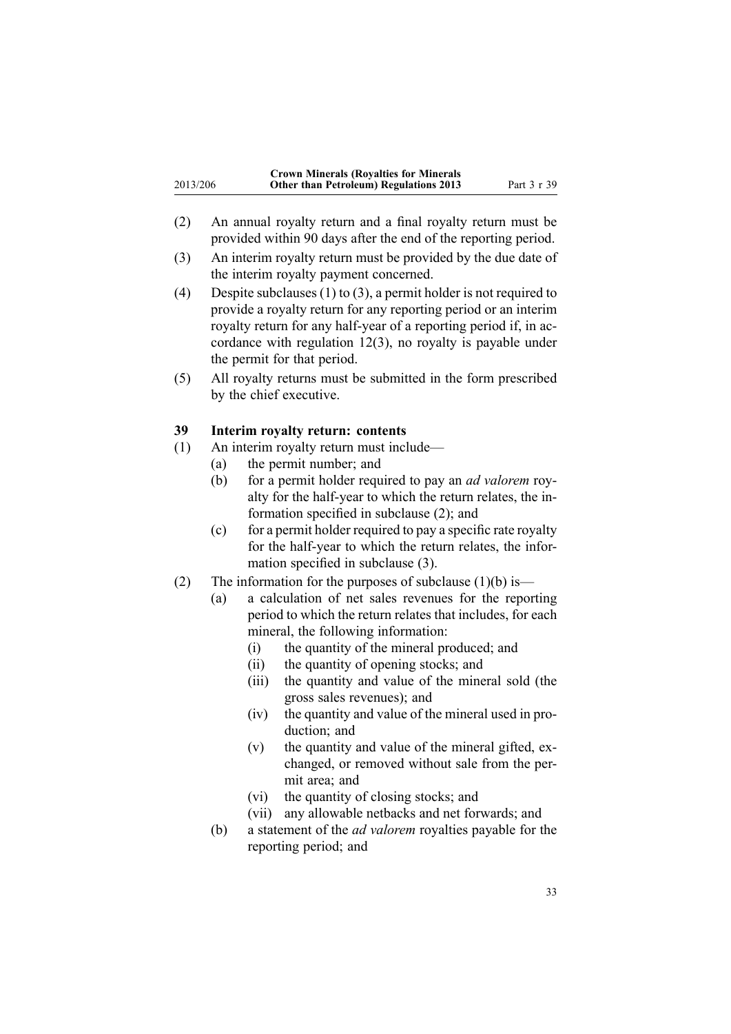<span id="page-32-0"></span>

|          | <b>Crown Minerals (Royalties for Minerals</b> |             |
|----------|-----------------------------------------------|-------------|
| 2013/206 | <b>Other than Petroleum) Regulations 2013</b> | Part 3 r 39 |

- (2) An annual royalty return and <sup>a</sup> final royalty return must be provided within 90 days after the end of the reporting period.
- (3) An interim royalty return must be provided by the due date of the interim royalty paymen<sup>t</sup> concerned.
- (4) Despite subclauses (1) to (3), a permit holder is not required to provide <sup>a</sup> royalty return for any reporting period or an interim royalty return for any half-year of <sup>a</sup> reporting period if, in accordance with regulation [12\(3\)](#page-13-0), no royalty is payable under the permit for that period.
- (5) All royalty returns must be submitted in the form prescribed by the chief executive.

### **39 Interim royalty return: contents**

- (1) An interim royalty return must include—
	- (a) the permit number; and
	- (b) for <sup>a</sup> permit holder required to pay an *ad valorem* royalty for the half-year to which the return relates, the information specified in subclause (2); and
	- $(c)$  for a permit holder required to pay a specific rate royalty for the half-year to which the return relates, the information specified in subclause (3).
- (2) The information for the purposes of subclause  $(1)(b)$  is—
	- (a) <sup>a</sup> calculation of net sales revenues for the reporting period to which the return relates that includes, for each mineral, the following information:
		- (i) the quantity of the mineral produced; and
		- (ii) the quantity of opening stocks; and
		- (iii) the quantity and value of the mineral sold (the gross sales revenues); and
		- (iv) the quantity and value of the mineral used in production; and
		- (v) the quantity and value of the mineral gifted, exchanged, or removed without sale from the permit area; and
		- (vi) the quantity of closing stocks; and
		- (vii) any allowable netbacks and net forwards; and
	- (b) <sup>a</sup> statement of the *ad valorem* royalties payable for the reporting period; and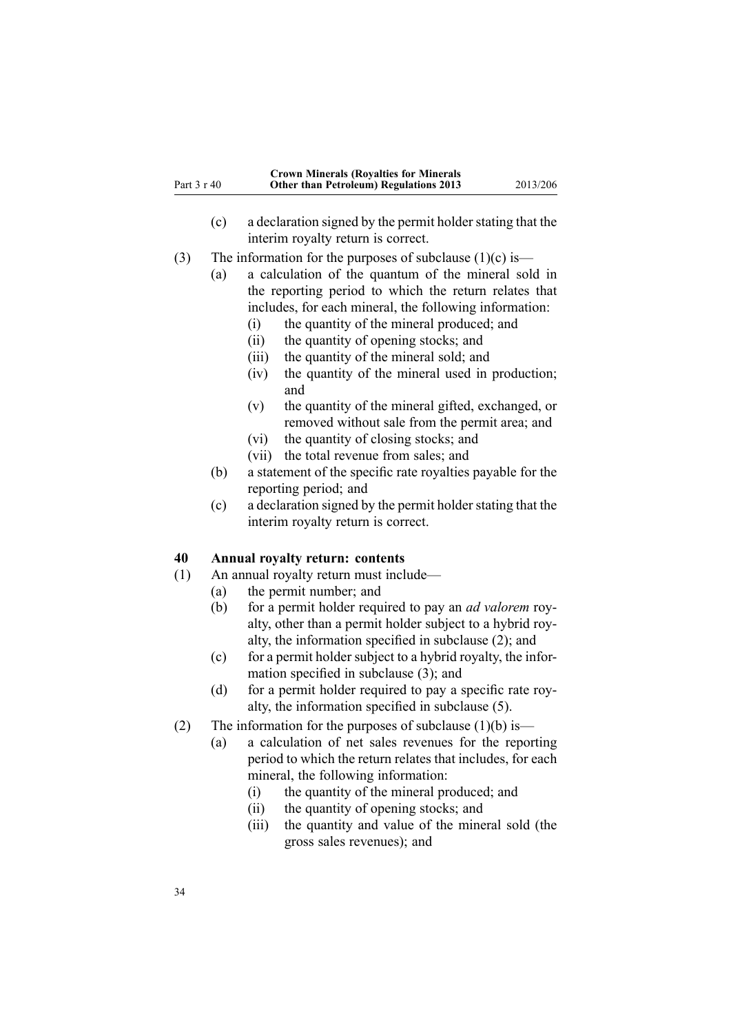<span id="page-33-0"></span>

|             | <b>Crown Minerals (Royalties for Minerals</b> |          |
|-------------|-----------------------------------------------|----------|
| Part 3 r 40 | <b>Other than Petroleum) Regulations 2013</b> | 2013/206 |

- (c) <sup>a</sup> declaration signed by the permit holderstating that the interim royalty return is correct.
- (3) The information for the purposes of subclause  $(1)(c)$  is—
	- (a) <sup>a</sup> calculation of the quantum of the mineral sold in the reporting period to which the return relates that includes, for each mineral, the following information:
		- (i) the quantity of the mineral produced; and
		- (ii) the quantity of opening stocks; and
		- (iii) the quantity of the mineral sold; and
		- (iv) the quantity of the mineral used in production; and
		- (v) the quantity of the mineral gifted, exchanged, or removed without sale from the permit area; and
		- (vi) the quantity of closing stocks; and
		- (vii) the total revenue from sales; and
	- (b) <sup>a</sup> statement of the specific rate royalties payable for the reporting period; and
	- (c) <sup>a</sup> declaration signed by the permit holderstating that the interim royalty return is correct.

### **40 Annual royalty return: contents**

- (1) An annual royalty return must include—
	- (a) the permit number; and
	- (b) for <sup>a</sup> permit holder required to pay an *ad valorem* royalty, other than <sup>a</sup> permit holder subject to <sup>a</sup> hybrid royalty, the information specified in subclause (2); and
	- (c) for <sup>a</sup> permit holder subject to <sup>a</sup> hybrid royalty, the information specified in subclause (3); and
	- (d) for <sup>a</sup> permit holder required to pay <sup>a</sup> specific rate royalty, the information specified in subclause (5).
- (2) The information for the purposes of subclause  $(1)(b)$  is—
	- (a) <sup>a</sup> calculation of net sales revenues for the reporting period to which the return relates that includes, for each mineral, the following information:
		- (i) the quantity of the mineral produced; and
		- (ii) the quantity of opening stocks; and
		- (iii) the quantity and value of the mineral sold (the gross sales revenues); and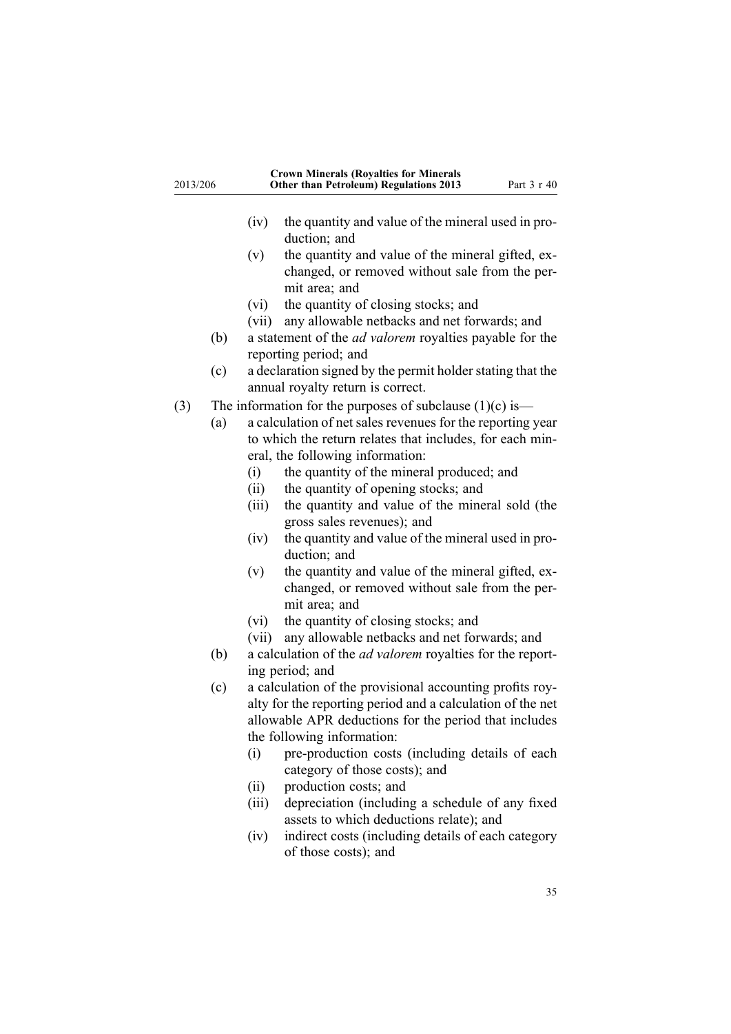| 2013/206 |     | <b>Crown Minerals (Royalties for Minerals</b><br><b>Other than Petroleum) Regulations 2013</b> | Part 3 r 40 |
|----------|-----|------------------------------------------------------------------------------------------------|-------------|
|          |     | the quantity and value of the mineral used in pro-<br>(iv)                                     |             |
|          |     | duction; and                                                                                   |             |
|          |     | the quantity and value of the mineral gifted, ex-<br>(v)                                       |             |
|          |     | changed, or removed without sale from the per-                                                 |             |
|          |     | mit area; and                                                                                  |             |
|          |     | the quantity of closing stocks; and<br>(vi)                                                    |             |
|          |     | any allowable netbacks and net forwards; and<br>(vii)                                          |             |
|          | (b) | a statement of the <i>ad valorem</i> royalties payable for the<br>reporting period; and        |             |
|          | (c) | a declaration signed by the permit holder stating that the                                     |             |
|          |     | annual royalty return is correct.                                                              |             |
| (3)      |     | The information for the purposes of subclause $(1)(c)$ is—                                     |             |
|          | (a) | a calculation of net sales revenues for the reporting year                                     |             |
|          |     | to which the return relates that includes, for each min-                                       |             |
|          |     | eral, the following information:                                                               |             |
|          |     | the quantity of the mineral produced; and<br>(i)                                               |             |
|          |     | the quantity of opening stocks; and<br>(ii)                                                    |             |
|          |     | the quantity and value of the mineral sold (the<br>(iii)                                       |             |
|          |     | gross sales revenues); and                                                                     |             |
|          |     | the quantity and value of the mineral used in pro-<br>(iv)                                     |             |
|          |     | duction; and                                                                                   |             |
|          |     | the quantity and value of the mineral gifted, ex-<br>(v)                                       |             |
|          |     | changed, or removed without sale from the per-                                                 |             |
|          |     | mit area; and                                                                                  |             |
|          |     | the quantity of closing stocks; and<br>(vi)                                                    |             |
|          |     | any allowable netbacks and net forwards; and<br>(vii)                                          |             |
|          | (b) | a calculation of the <i>ad valorem</i> royalties for the report-                               |             |
|          |     | ing period; and                                                                                |             |
|          | (c) | a calculation of the provisional accounting profits roy-                                       |             |
|          |     | alty for the reporting period and a calculation of the net                                     |             |
|          |     | allowable APR deductions for the period that includes                                          |             |
|          |     | the following information:                                                                     |             |
|          |     | pre-production costs (including details of each<br>(i)                                         |             |
|          |     | category of those costs); and                                                                  |             |
|          |     | production costs; and<br>(ii)                                                                  |             |
|          |     | depreciation (including a schedule of any fixed<br>(iii)                                       |             |
|          |     | assets to which deductions relate); and                                                        |             |

(iv) indirect costs (including details of each category of those costs); and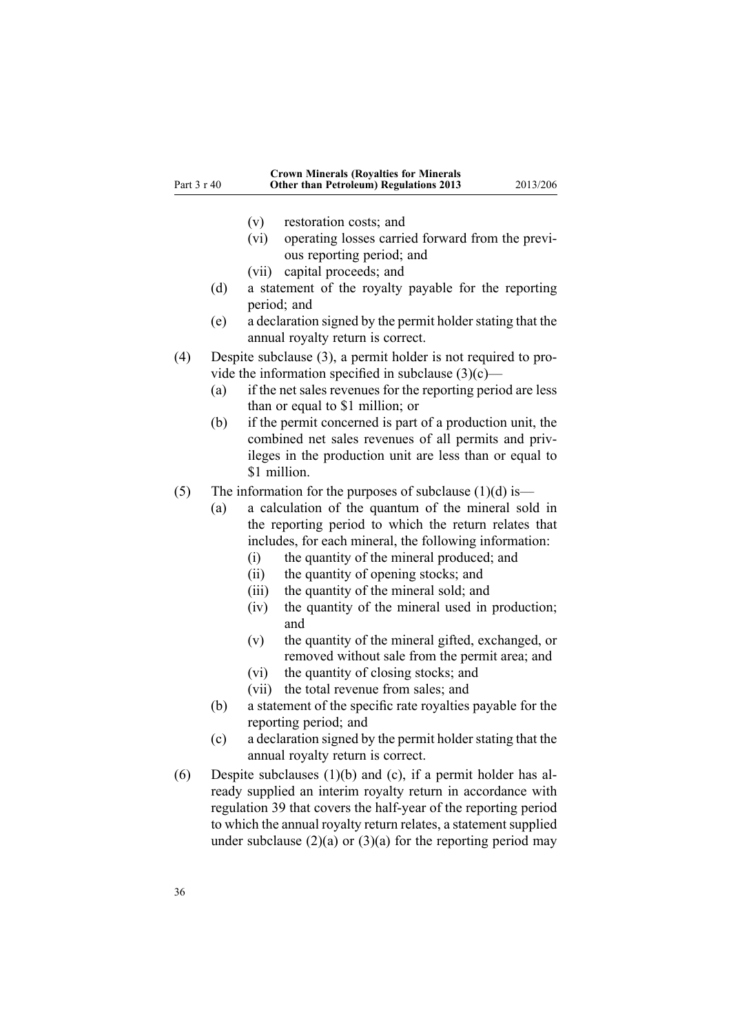- (v) restoration costs; and
- (vi) operating losses carried forward from the previous reporting period; and
- (vii) capital proceeds; and
- (d) <sup>a</sup> statement of the royalty payable for the reporting period; and
- (e) <sup>a</sup> declaration signed by the permit holderstating that the annual royalty return is correct.
- (4) Despite subclause (3), <sup>a</sup> permit holder is not required to provide the information specified in subclause  $(3)(c)$ —
	- (a) if the net sales revenues for the reporting period are less than or equal to \$1 million; or
	- (b) if the permit concerned is par<sup>t</sup> of <sup>a</sup> production unit, the combined net sales revenues of all permits and privileges in the production unit are less than or equal to \$1 million.
- (5) The information for the purposes of subclause  $(1)(d)$  is—
	- (a) <sup>a</sup> calculation of the quantum of the mineral sold in the reporting period to which the return relates that includes, for each mineral, the following information:
		- (i) the quantity of the mineral produced; and
		- (ii) the quantity of opening stocks; and
		- (iii) the quantity of the mineral sold; and
		- (iv) the quantity of the mineral used in production; and
		- (v) the quantity of the mineral gifted, exchanged, or removed without sale from the permit area; and
		- (vi) the quantity of closing stocks; and
		- (vii) the total revenue from sales; and
	- (b) <sup>a</sup> statement of the specific rate royalties payable for the reporting period; and
	- (c) a declaration signed by the permit holder stating that the annual royalty return is correct.
- (6) Despite subclauses (1)(b) and (c), if <sup>a</sup> permit holder has already supplied an interim royalty return in accordance with regu[lation](#page-32-0) 39 that covers the half-year of the reporting period to which the annual royalty return relates, a statement supplied under subclause  $(2)(a)$  or  $(3)(a)$  for the reporting period may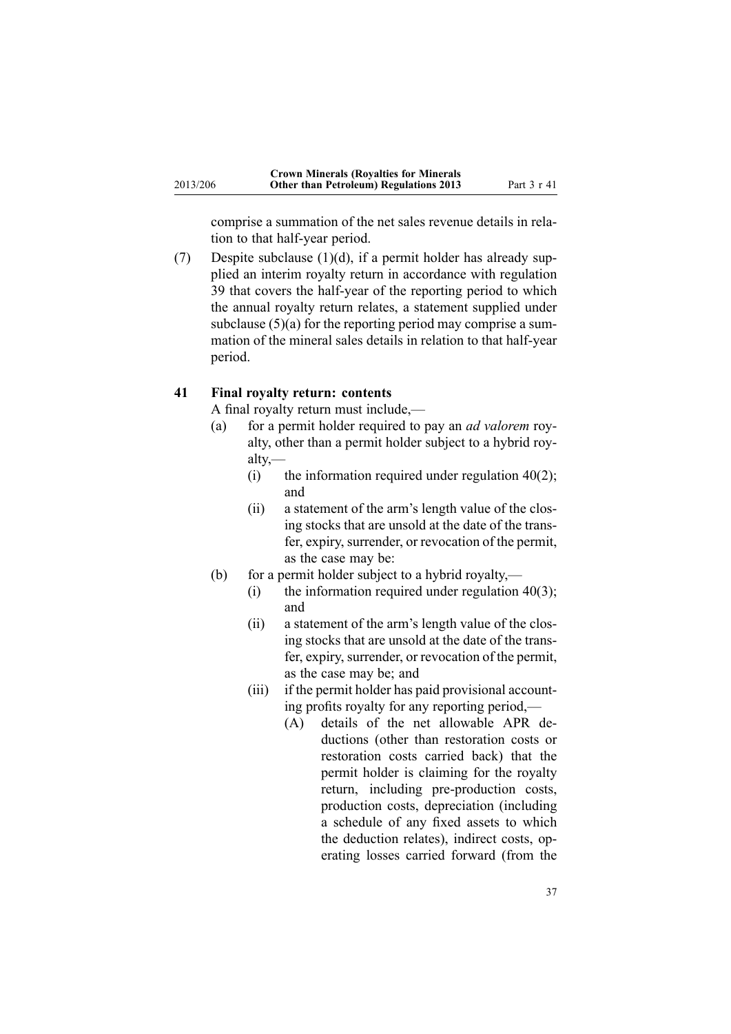<span id="page-36-0"></span>comprise <sup>a</sup> summation of the net sales revenue details in relation to that half-year period.

(7) Despite subclause  $(1)(d)$ , if a permit holder has already supplied an interim royalty return in accordance with regu[lation](#page-32-0) [39](#page-32-0) that covers the half-year of the reporting period to which the annual royalty return relates, <sup>a</sup> statement supplied under subclause (5)(a) for the reporting period may comprise a summation of the mineral sales details in relation to that half-year period.

#### **41 Final royalty return: contents**

A final royalty return must include,—

- (a) for <sup>a</sup> permit holder required to pay an *ad valorem* royalty, other than <sup>a</sup> permit holder subject to <sup>a</sup> hybrid royalty,—
	- (i) the information required under regulation  $40(2)$ ; and
	- (ii) <sup>a</sup> statement of the arm's length value of the closing stocks that are unsold at the date of the transfer, expiry, surrender, or revocation of the permit, as the case may be:
- (b) for <sup>a</sup> permit holder subject to <sup>a</sup> hybrid royalty,—
	- (i) the information required under regulation  $40(3)$ ; and
	- (ii) <sup>a</sup> statement of the arm's length value of the closing stocks that are unsold at the date of the transfer, expiry, surrender, or revocation of the permit, as the case may be; and
	- (iii) if the permit holder has paid provisional accounting profits royalty for any reporting period,—
		- (A) details of the net allowable APR deductions (other than restoration costs or restoration costs carried back) that the permit holder is claiming for the royalty return, including pre-production costs, production costs, depreciation (including <sup>a</sup> schedule of any fixed assets to which the deduction relates), indirect costs, operating losses carried forward (from the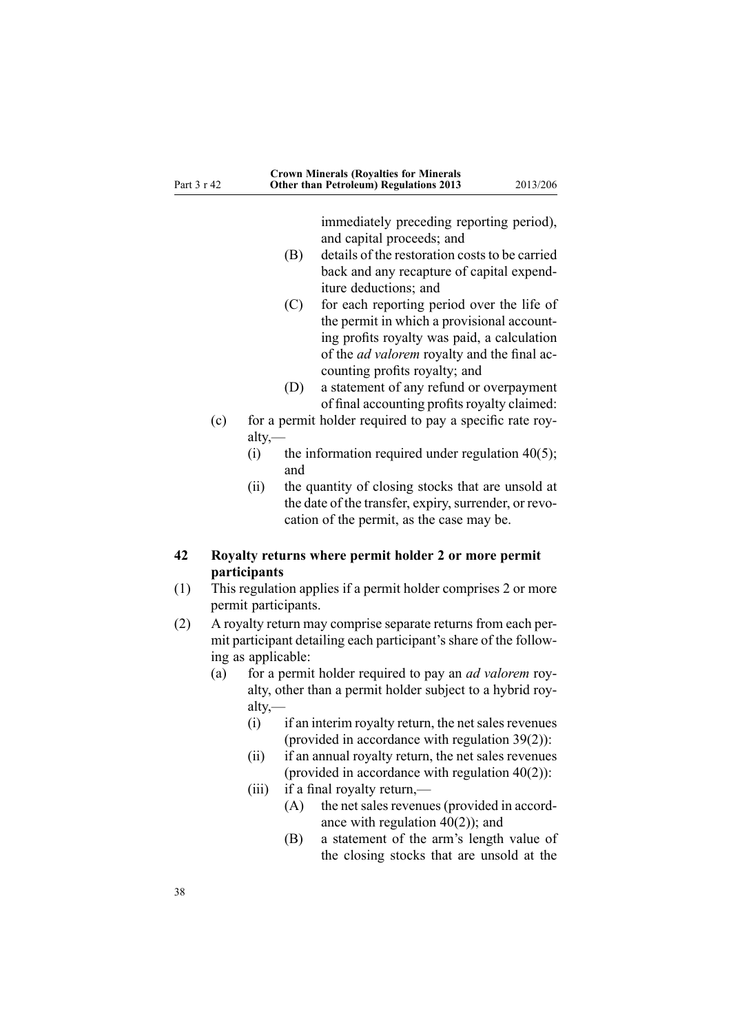<span id="page-37-0"></span>

| Part 3 r 42 |     | <b>Crown Minerals (Royalties for Minerals</b><br><b>Other than Petroleum) Regulations 2013</b><br>2013/206                                                      |
|-------------|-----|-----------------------------------------------------------------------------------------------------------------------------------------------------------------|
|             |     | immediately preceding reporting period),<br>and capital proceeds; and<br>details of the restoration costs to be carried<br>(B)                                  |
|             |     | back and any recapture of capital expend-<br>iture deductions; and                                                                                              |
|             |     | for each reporting period over the life of<br>(C)<br>the permit in which a provisional account-<br>ing profits royalty was paid, a calculation                  |
|             |     | of the <i>ad valorem</i> royalty and the final ac-<br>counting profits royalty; and                                                                             |
|             |     | (D)<br>a statement of any refund or overpayment<br>of final accounting profits royalty claimed:                                                                 |
|             | (c) | for a permit holder required to pay a specific rate roy-<br>$\text{alty},$                                                                                      |
|             |     | (i)<br>the information required under regulation $40(5)$ ;<br>and                                                                                               |
|             |     | (ii)<br>the quantity of closing stocks that are unsold at<br>the date of the transfer, expiry, surrender, or revo-<br>cation of the permit, as the case may be. |
| 42          |     | Royalty returns where permit holder 2 or more permit                                                                                                            |
| (1)         |     | participants<br>This regulation applies if a permit holder comprises 2 or more<br>permit participants.                                                          |
| (2)         |     | A royalty return may comprise separate returns from each per-<br>mit participant detailing each participant's share of the follow-<br>ing as applicable:        |
|             | (a) | for a permit holder required to pay an <i>ad valorem</i> roy-<br>alty, other than a permit holder subject to a hybrid roy-<br>alty,—                            |
|             |     | $\mathbf{r} \cdot \mathbf{r} = \mathbf{r} \cdot \mathbf{r}$ and $\mathbf{r} \cdot \mathbf{r} = \mathbf{r} \cdot \mathbf{r}$                                     |

- $(i)$  if an interim royalty return, the net sales revenues (provided in accordance with regulation [39\(2\)\)](#page-32-0):
- (ii) if an annual royalty return, the net sales revenues (provided in accordance with regulation  $40(2)$ ):
- (iii) if a final royalty return,—
	- (A) the net sales revenues (provided in accordance with regulation  $\widehat{40}(2)$ ); and
	- (B) <sup>a</sup> statement of the arm's length value of the closing stocks that are unsold at the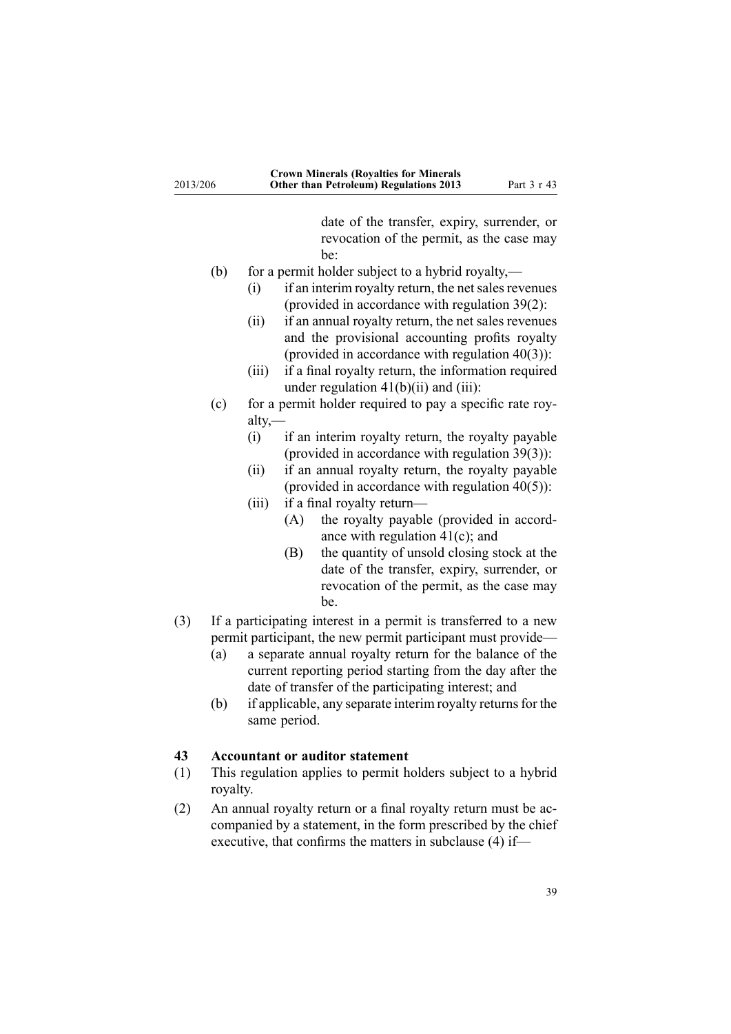<span id="page-38-0"></span>

|          | <b>Crown Minerals (Royalties for Minerals</b> |             |
|----------|-----------------------------------------------|-------------|
| 2013/206 | <b>Other than Petroleum) Regulations 2013</b> | Part 3 r 43 |

date of the transfer, expiry, surrender, or revocation of the permit, as the case may be:

- (b) for <sup>a</sup> permit holder subject to <sup>a</sup> hybrid royalty,—
	- $(i)$  if an interim royalty return, the net sales revenues (provided in accordance with regulation 39(2):
	- (ii) if an annual royalty return, the net sales revenues and the provisional accounting profits royalty (provided in accordance with regulation [40\(3\)\)](#page-33-0):
	- (iii) if <sup>a</sup> final royalty return, the information required under regulation  $41(b)(ii)$  and (iii):
- (c) for <sup>a</sup> permit holder required to pay <sup>a</sup> specific rate royalty,—
	- (i) if an interim royalty return, the royalty payable (provided in accordance with regulation [39\(3\)\)](#page-32-0):
	- (ii) if an annual royalty return, the royalty payable (provided in accordance with regulation  $40(5)$ ):
	- (iii) if <sup>a</sup> final royalty return—
		- (A) the royalty payable (provided in accordance with regulation [41\(c\)](#page-36-0); and
		- (B) the quantity of unsold closing stock at the date of the transfer, expiry, surrender, or revocation of the permit, as the case may be.
- (3) If <sup>a</sup> participating interest in <sup>a</sup> permit is transferred to <sup>a</sup> new permit participant, the new permit participant must provide—
	- (a) <sup>a</sup> separate annual royalty return for the balance of the current reporting period starting from the day after the date of transfer of the participating interest; and
	- (b) if applicable, any separate interim royalty returns for the same period.

### **43 Accountant or auditor statement**

- (1) This regulation applies to permit holders subject to <sup>a</sup> hybrid royalty.
- (2) An annual royalty return or <sup>a</sup> final royalty return must be accompanied by <sup>a</sup> statement, in the form prescribed by the chief executive, that confirms the matters in subclause (4) if—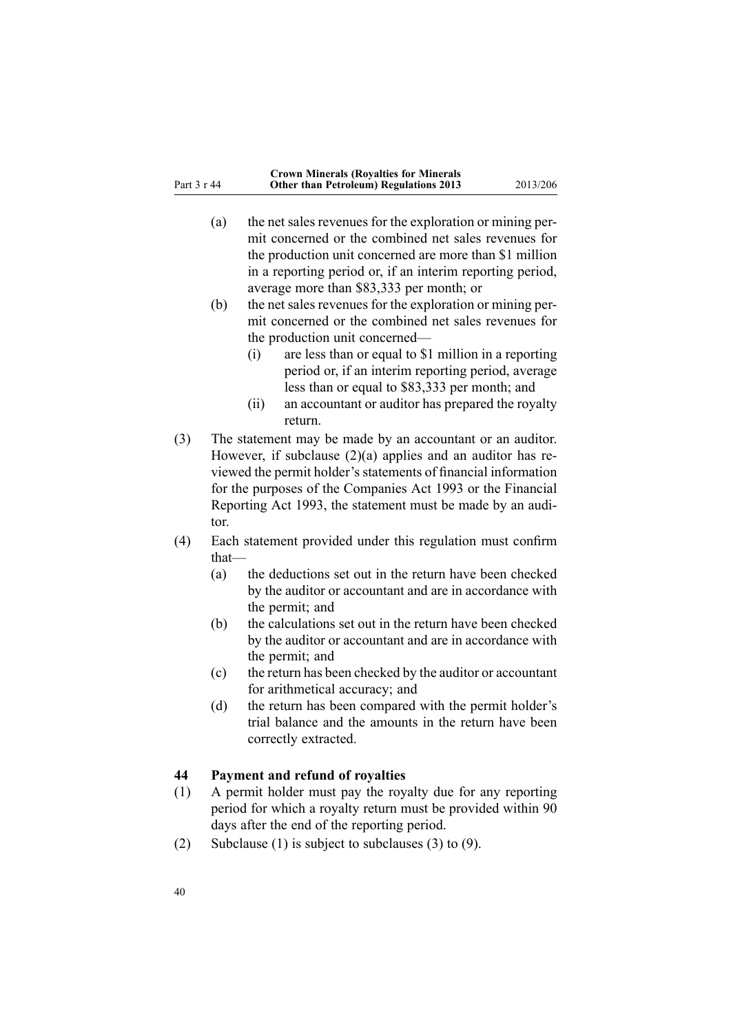- <span id="page-39-0"></span>(a) the net sales revenues for the exploration or mining permit concerned or the combined net sales revenues for the production unit concerned are more than \$1 million in <sup>a</sup> reporting period or, if an interim reporting period, average more than \$83,333 per month; or
- (b) the net sales revenues for the exploration or mining permit concerned or the combined net sales revenues for the production unit concerned—
	- (i) are less than or equal to \$1 million in <sup>a</sup> reporting period or, if an interim reporting period, average less than or equal to \$83,333 per month; and
	- (ii) an accountant or auditor has prepared the royalty return.
- (3) The statement may be made by an accountant or an auditor. However, if subclause (2)(a) applies and an auditor has reviewed the permit holder's statements of financial information for the purposes of the [Companies](http://www.legislation.govt.nz/pdflink.aspx?id=DLM319569) Act 1993 or the [Financial](http://www.legislation.govt.nz/pdflink.aspx?id=DLM323597) [Reporting](http://www.legislation.govt.nz/pdflink.aspx?id=DLM323597) Act 1993, the statement must be made by an auditor.
- (4) Each statement provided under this regulation must confirm that—
	- (a) the deductions set out in the return have been checked by the auditor or accountant and are in accordance with the permit; and
	- (b) the calculations set out in the return have been checked by the auditor or accountant and are in accordance with the permit; and
	- (c) the return has been checked by the auditor or accountant for arithmetical accuracy; and
	- (d) the return has been compared with the permit holder's trial balance and the amounts in the return have been correctly extracted.

### **44 Payment and refund of royalties**

- (1) A permit holder must pay the royalty due for any reporting period for which <sup>a</sup> royalty return must be provided within 90 days after the end of the reporting period.
- (2) Subclause (1) is subject to subclauses (3) to (9).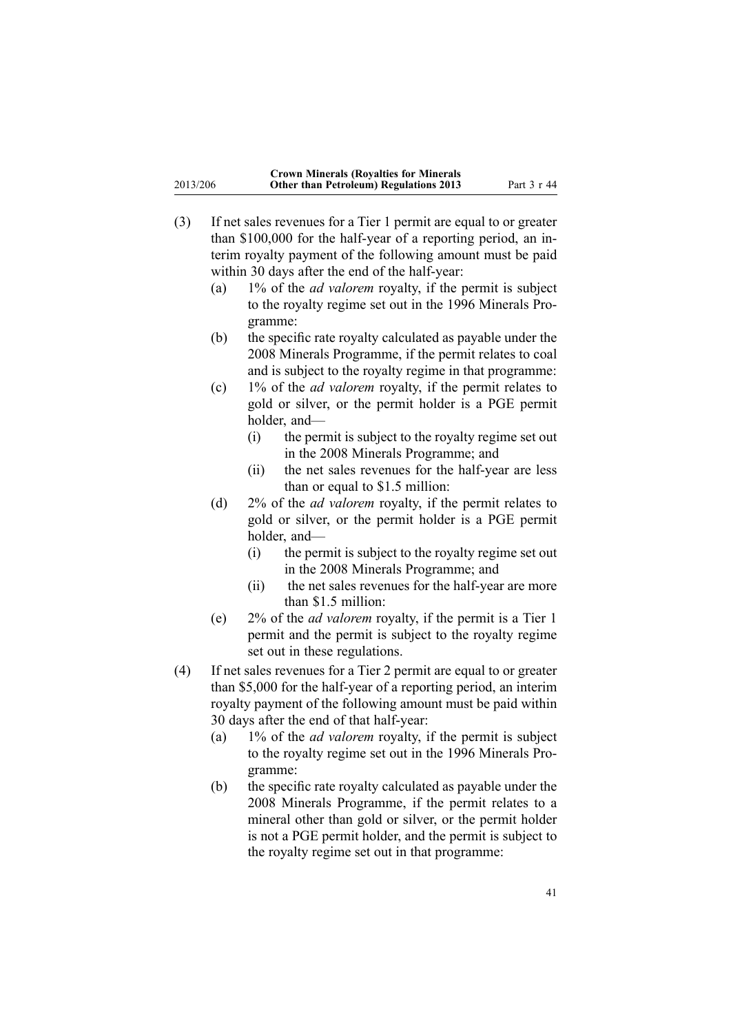|          | <b>Crown Minerals (Royalties for Minerals</b> |             |
|----------|-----------------------------------------------|-------------|
| 2013/206 | <b>Other than Petroleum) Regulations 2013</b> | Part 3 r 44 |

- (3) If net sales revenues for <sup>a</sup> Tier 1 permit are equal to or greater than \$100,000 for the half-year of <sup>a</sup> reporting period, an interim royalty paymen<sup>t</sup> of the following amount must be paid within 30 days after the end of the half-year:
	- (a) 1% of the *ad valorem* royalty, if the permit is subject to the royalty regime set out in the 1996 Minerals Programme:
	- (b) the specific rate royalty calculated as payable under the 2008 Minerals Programme, if the permit relates to coal and is subject to the royalty regime in that programme:
	- (c) 1% of the *ad valorem* royalty, if the permit relates to gold or silver, or the permit holder is <sup>a</sup> PGE permit holder, and—
		- (i) the permit is subject to the royalty regime set out in the 2008 Minerals Programme; and
		- (ii) the net sales revenues for the half-year are less than or equal to \$1.5 million:
	- (d) 2% of the *ad valorem* royalty, if the permit relates to gold or silver, or the permit holder is <sup>a</sup> PGE permit holder, and—
		- (i) the permit is subject to the royalty regime set out in the 2008 Minerals Programme; and
		- (ii) the net sales revenues for the half-year are more than \$1.5 million:
	- (e) 2% of the *ad valorem* royalty, if the permit is <sup>a</sup> Tier 1 permit and the permit is subject to the royalty regime set out in these regulations.
- (4) If net sales revenues for <sup>a</sup> Tier 2 permit are equal to or greater than \$5,000 for the half-year of <sup>a</sup> reporting period, an interim royalty paymen<sup>t</sup> of the following amount must be paid within 30 days after the end of that half-year:
	- (a) 1% of the *ad valorem* royalty, if the permit is subject to the royalty regime set out in the 1996 Minerals Programme:
	- (b) the specific rate royalty calculated as payable under the 2008 Minerals Programme, if the permit relates to <sup>a</sup> mineral other than gold or silver, or the permit holder is not <sup>a</sup> PGE permit holder, and the permit is subject to the royalty regime set out in that programme: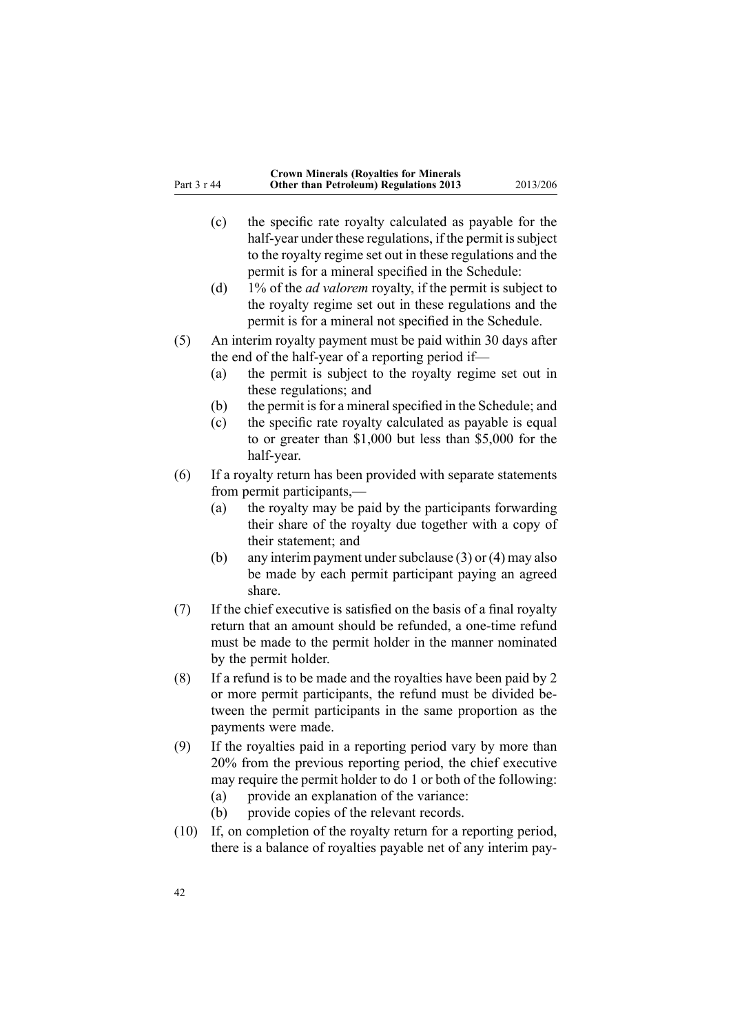- (c) the specific rate royalty calculated as payable for the half-year under these regulations, if the permit is subject to the royalty regime set out in these regulations and the permit is for <sup>a</sup> mineral specified in the [Schedule](#page-43-0):
- (d) 1% of the *ad valorem* royalty, if the permit is subject to the royalty regime set out in these regulations and the permit is for <sup>a</sup> mineral not specified in the [Schedule](#page-43-0).
- (5) An interim royalty paymen<sup>t</sup> must be paid within 30 days after the end of the half-year of <sup>a</sup> reporting period if—
	- (a) the permit is subject to the royalty regime set out in these regulations; and
	- (b) the permit is for a mineral specified in the [Schedule](#page-11-0); and
	- (c) the specific rate royalty calculated as payable is equal to or greater than \$1,000 but less than \$5,000 for the half-year.
- (6) If <sup>a</sup> royalty return has been provided with separate statements from permit participants,—
	- (a) the royalty may be paid by the participants forwarding their share of the royalty due together with <sup>a</sup> copy of their statement; and
	- (b) any interim payment under subclause  $(3)$  or  $(4)$  may also be made by each permit participant paying an agreed share.
- (7) If the chief executive is satisfied on the basis of <sup>a</sup> final royalty return that an amount should be refunded, <sup>a</sup> one-time refund must be made to the permit holder in the manner nominated by the permit holder.
- (8) If <sup>a</sup> refund is to be made and the royalties have been paid by 2 or more permit participants, the refund must be divided between the permit participants in the same proportion as the payments were made.
- (9) If the royalties paid in <sup>a</sup> reporting period vary by more than 20% from the previous reporting period, the chief executive may require the permit holder to do 1 or both of the following:
	- (a) provide an explanation of the variance:
	- (b) provide copies of the relevant records.
- (10) If, on completion of the royalty return for <sup>a</sup> reporting period, there is <sup>a</sup> balance of royalties payable net of any interim pay-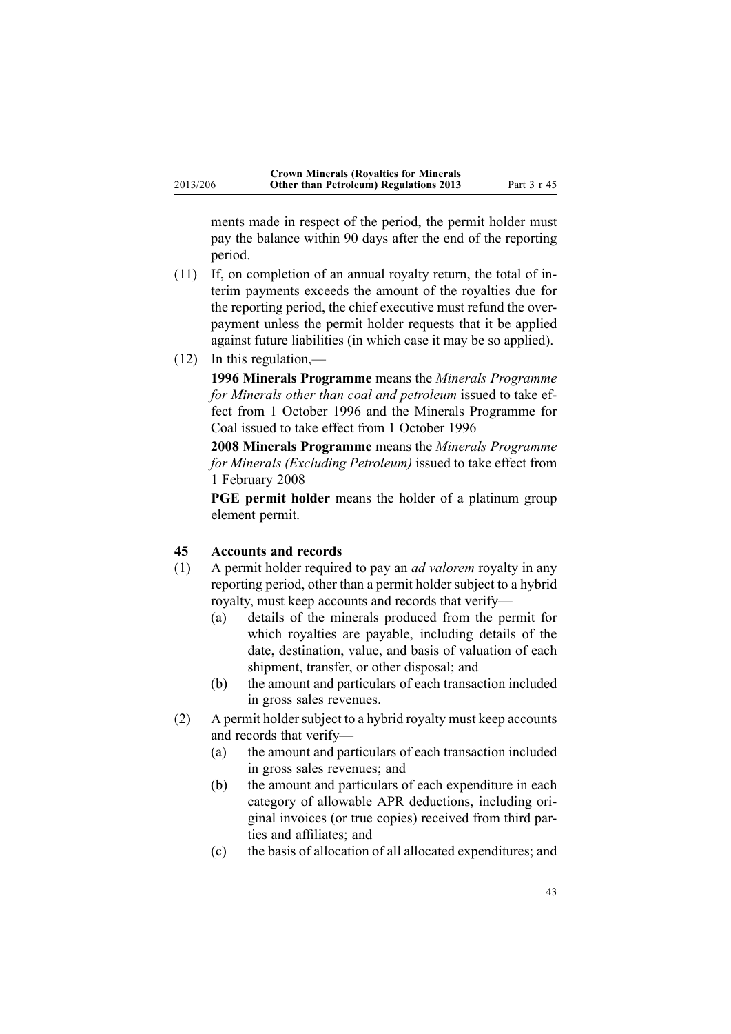<span id="page-42-0"></span>ments made in respec<sup>t</sup> of the period, the permit holder must pay the balance within 90 days after the end of the reporting period.

- (11) If, on completion of an annual royalty return, the total of interim payments exceeds the amount of the royalties due for the reporting period, the chief executive must refund the overpaymen<sup>t</sup> unless the permit holder requests that it be applied against future liabilities (in which case it may be so applied).
- (12) In this regulation,—

**1996 Minerals Programme** means the *Minerals Programme for Minerals other than coal and petroleum* issued to take effect from 1 October 1996 and the Minerals Programme for Coal issued to take effect from 1 October 1996

**2008 Minerals Programme** means the *Minerals Programme for Minerals (Excluding Petroleum)* issued to take effect from 1 February 2008

**PGE permit holder** means the holder of <sup>a</sup> platinum group element permit.

### **45 Accounts and records**

- (1) A permit holder required to pay an *ad valorem* royalty in any reporting period, other than <sup>a</sup> permit holder subject to <sup>a</sup> hybrid royalty, must keep accounts and records that verify—
	- (a) details of the minerals produced from the permit for which royalties are payable, including details of the date, destination, value, and basis of valuation of each shipment, transfer, or other disposal; and
	- (b) the amount and particulars of each transaction included in gross sales revenues.
- $(2)$  A permit holder subject to a hybrid royalty must keep accounts and records that verify—
	- (a) the amount and particulars of each transaction included in gross sales revenues; and
	- (b) the amount and particulars of each expenditure in each category of allowable APR deductions, including original invoices (or true copies) received from third parties and affiliates; and
	- (c) the basis of allocation of all allocated expenditures; and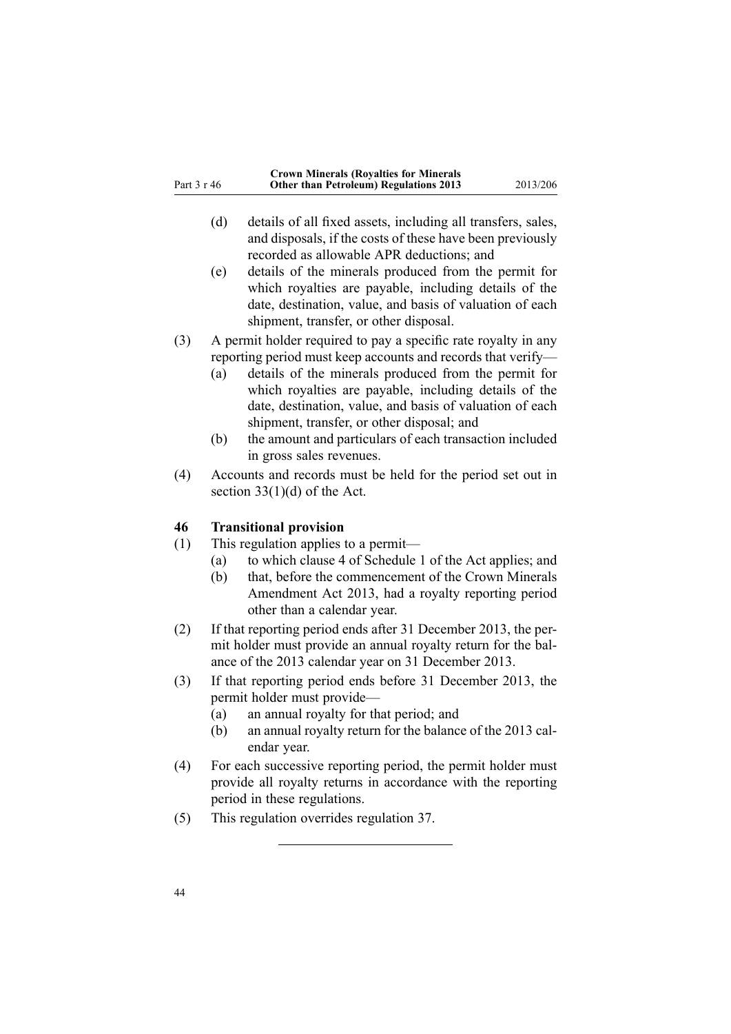<span id="page-43-0"></span>

|             | <b>Crown Minerals (Royalties for Minerals</b> |          |
|-------------|-----------------------------------------------|----------|
| Part 3 r 46 | <b>Other than Petroleum) Regulations 2013</b> | 2013/206 |

- (d) details of all fixed assets, including all transfers, sales, and disposals, if the costs of these have been previously recorded as allowable APR deductions; and
- (e) details of the minerals produced from the permit for which royalties are payable, including details of the date, destination, value, and basis of valuation of each shipment, transfer, or other disposal.
- (3) A permit holder required to pay <sup>a</sup> specific rate royalty in any reporting period must keep accounts and records that verify—
	- (a) details of the minerals produced from the permit for which royalties are payable, including details of the date, destination, value, and basis of valuation of each shipment, transfer, or other disposal; and
	- (b) the amount and particulars of each transaction included in gross sales revenues.
- (4) Accounts and records must be held for the period set out in section  $33(1)(d)$  of the Act.

#### **46 Transitional provision**

- (1) This regulation applies to <sup>a</sup> permit—
	- (a) to which clause 4 of [Schedule](http://www.legislation.govt.nz/pdflink.aspx?id=DLM247367) 1 of the Act applies; and
	- (b) that, before the commencement of the Crown [Minerals](http://www.legislation.govt.nz/pdflink.aspx?id=DLM4756102) [Amendment](http://www.legislation.govt.nz/pdflink.aspx?id=DLM4756102) Act 2013, had <sup>a</sup> royalty reporting period other than <sup>a</sup> calendar year.
- (2) If that reporting period ends after 31 December 2013, the permit holder must provide an annual royalty return for the balance of the 2013 calendar year on 31 December 2013.
- (3) If that reporting period ends before 31 December 2013, the permit holder must provide—
	- (a) an annual royalty for that period; and
	- (b) an annual royalty return for the balance of the 2013 calendar year.
- (4) For each successive reporting period, the permit holder must provide all royalty returns in accordance with the reporting period in these regulations.
- (5) This regulation overrides regu[lation](#page-31-0) 37.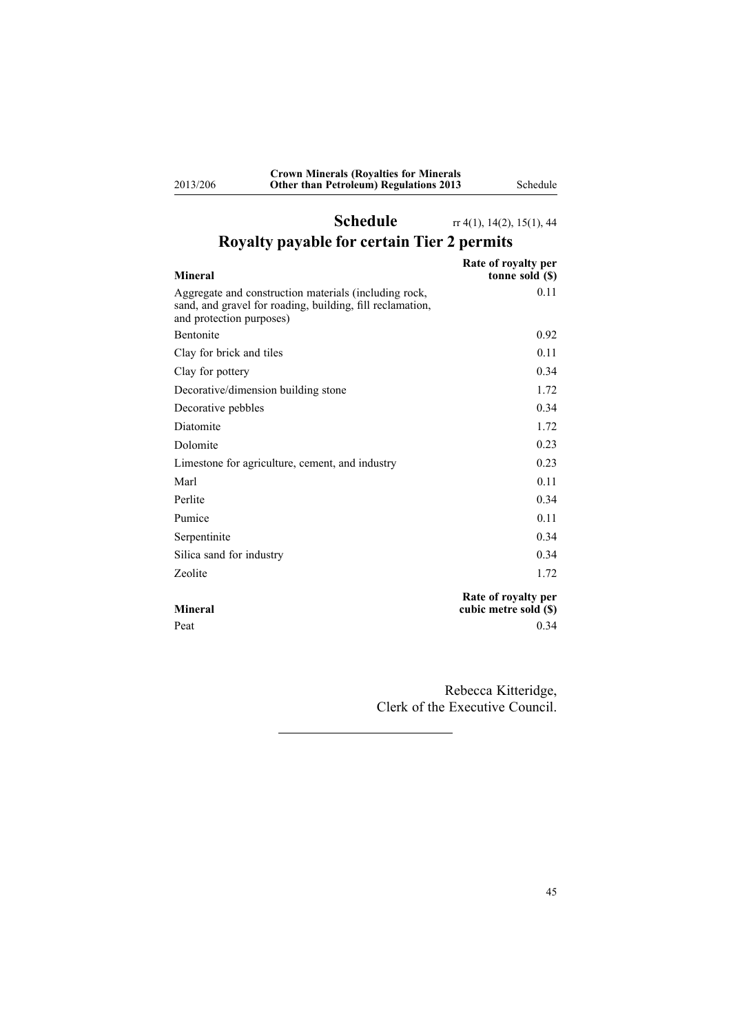**Crown Minerals (Royalties for Minerals Other than Petroleum) Regulations 2013** Schedule

<span id="page-44-0"></span>2013/206

# **Schedule** rr [4\(1\)](#page-3-0), [14\(2\)](#page-14-0), [15\(1\)](#page-15-0), [44](#page-39-0) **Royalty payable for certain Tier 2 permits**

| <b>Mineral</b>                                                                                                                                 | Rate of royalty per<br>tonne sold (\$)       |
|------------------------------------------------------------------------------------------------------------------------------------------------|----------------------------------------------|
| Aggregate and construction materials (including rock,<br>sand, and gravel for roading, building, fill reclamation,<br>and protection purposes) | 0.11                                         |
| <b>Bentonite</b>                                                                                                                               | 0.92                                         |
| Clay for brick and tiles                                                                                                                       | 0.11                                         |
| Clay for pottery                                                                                                                               | 0.34                                         |
| Decorative/dimension building stone                                                                                                            | 1.72                                         |
| Decorative pebbles                                                                                                                             | 0.34                                         |
| Diatomite                                                                                                                                      | 1.72                                         |
| Dolomite                                                                                                                                       | 0.23                                         |
| Limestone for agriculture, cement, and industry                                                                                                | 0.23                                         |
| Marl                                                                                                                                           | 0.11                                         |
| Perlite                                                                                                                                        | 0.34                                         |
| Pumice                                                                                                                                         | 0.11                                         |
| Serpentinite                                                                                                                                   | 0.34                                         |
| Silica sand for industry                                                                                                                       | 0.34                                         |
| Zeolite                                                                                                                                        | 1.72                                         |
| <b>Mineral</b>                                                                                                                                 | Rate of royalty per<br>cubic metre sold (\$) |
| Peat                                                                                                                                           | 0.34                                         |

Rebecca Kitteridge, Clerk of the Executive Council.